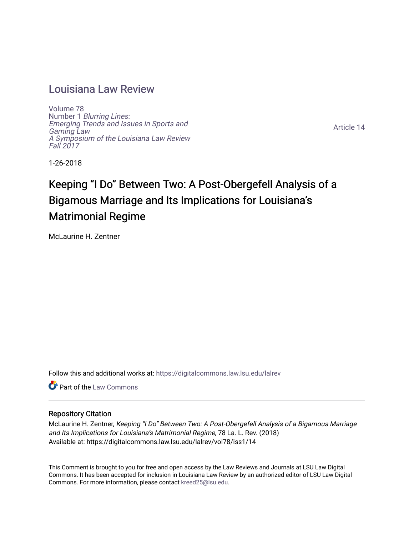# [Louisiana Law Review](https://digitalcommons.law.lsu.edu/lalrev)

[Volume 78](https://digitalcommons.law.lsu.edu/lalrev/vol78) Number 1 [Blurring Lines:](https://digitalcommons.law.lsu.edu/lalrev/vol78/iss1) [Emerging Trends and Issues in Sports and](https://digitalcommons.law.lsu.edu/lalrev/vol78/iss1)  [Gaming Law](https://digitalcommons.law.lsu.edu/lalrev/vol78/iss1)  [A Symposium of the Louisiana Law Review](https://digitalcommons.law.lsu.edu/lalrev/vol78/iss1) [Fall 2017](https://digitalcommons.law.lsu.edu/lalrev/vol78/iss1) 

[Article 14](https://digitalcommons.law.lsu.edu/lalrev/vol78/iss1/14) 

1-26-2018

# Keeping "I Do" Between Two: A Post-Obergefell Analysis of a Bigamous Marriage and Its Implications for Louisiana's Matrimonial Regime

McLaurine H. Zentner

Follow this and additional works at: [https://digitalcommons.law.lsu.edu/lalrev](https://digitalcommons.law.lsu.edu/lalrev?utm_source=digitalcommons.law.lsu.edu%2Flalrev%2Fvol78%2Fiss1%2F14&utm_medium=PDF&utm_campaign=PDFCoverPages)

**C** Part of the [Law Commons](http://network.bepress.com/hgg/discipline/578?utm_source=digitalcommons.law.lsu.edu%2Flalrev%2Fvol78%2Fiss1%2F14&utm_medium=PDF&utm_campaign=PDFCoverPages)

# Repository Citation

McLaurine H. Zentner, Keeping "I Do" Between Two: A Post-Obergefell Analysis of a Bigamous Marriage and Its Implications for Louisiana's Matrimonial Regime, 78 La. L. Rev. (2018) Available at: https://digitalcommons.law.lsu.edu/lalrev/vol78/iss1/14

This Comment is brought to you for free and open access by the Law Reviews and Journals at LSU Law Digital Commons. It has been accepted for inclusion in Louisiana Law Review by an authorized editor of LSU Law Digital Commons. For more information, please contact [kreed25@lsu.edu](mailto:kreed25@lsu.edu).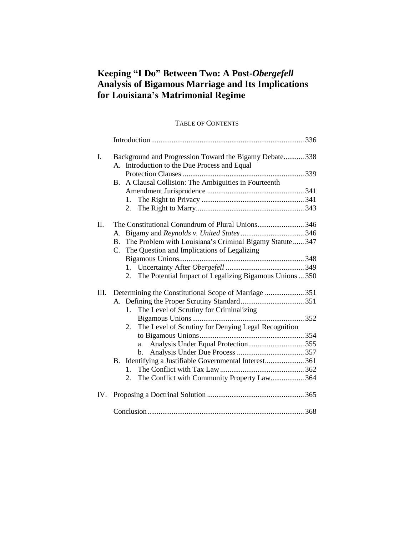# **Keeping "I Do" Between Two: A Post-***Obergefell* **Analysis of Bigamous Marriage and Its Implications for Louisiana's Matrimonial Regime**

# TABLE OF CONTENTS

| I.  | Background and Progression Toward the Bigamy Debate 338<br>A. Introduction to the Due Process and Equal                       |      |
|-----|-------------------------------------------------------------------------------------------------------------------------------|------|
|     | A Clausal Collision: The Ambiguities in Fourteenth<br><b>B.</b>                                                               |      |
|     |                                                                                                                               |      |
|     |                                                                                                                               |      |
|     | 2.                                                                                                                            |      |
| Π.  | The Constitutional Conundrum of Plural Unions346                                                                              |      |
|     | A.                                                                                                                            |      |
|     | The Problem with Louisiana's Criminal Bigamy Statute  347<br>$\mathbf{B}$ .<br>C. The Question and Implications of Legalizing |      |
|     |                                                                                                                               |      |
|     |                                                                                                                               |      |
|     | The Potential Impact of Legalizing Bigamous Unions  350<br>2.                                                                 |      |
| Ш.  |                                                                                                                               |      |
|     | The Level of Scrutiny for Criminalizing<br>$1_{\cdot}$                                                                        |      |
|     |                                                                                                                               |      |
|     | The Level of Scrutiny for Denying Legal Recognition<br>2.                                                                     |      |
|     |                                                                                                                               |      |
|     | a.                                                                                                                            |      |
|     | $\mathbf{b}$ .                                                                                                                |      |
|     | B. Identifying a Justifiable Governmental Interest361                                                                         |      |
|     | 1.                                                                                                                            |      |
|     | The Conflict with Community Property Law 364<br>2.                                                                            |      |
| IV. |                                                                                                                               |      |
|     | Conclusion.                                                                                                                   | .368 |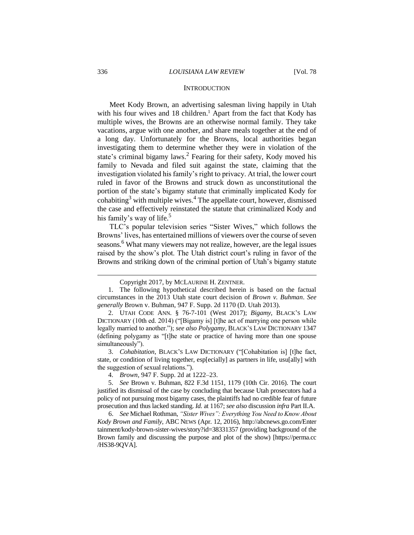#### **INTRODUCTION**

Meet Kody Brown, an advertising salesman living happily in Utah with his four wives and  $18$  children.<sup>1</sup> Apart from the fact that Kody has multiple wives, the Browns are an otherwise normal family. They take vacations, argue with one another, and share meals together at the end of a long day. Unfortunately for the Browns, local authorities began investigating them to determine whether they were in violation of the state's criminal bigamy laws.<sup>2</sup> Fearing for their safety, Kody moved his family to Nevada and filed suit against the state, claiming that the investigation violated his family's right to privacy. At trial, the lower court ruled in favor of the Browns and struck down as unconstitutional the portion of the state's bigamy statute that criminally implicated Kody for cohabiting<sup>3</sup> with multiple wives.<sup>4</sup> The appellate court, however, dismissed the case and effectively reinstated the statute that criminalized Kody and his family's way of life.<sup>5</sup>

TLC's popular television series "Sister Wives," which follows the Browns' lives, has entertained millions of viewers over the course of seven seasons.<sup>6</sup> What many viewers may not realize, however, are the legal issues raised by the show's plot. The Utah district court's ruling in favor of the Browns and striking down of the criminal portion of Utah's bigamy statute

Copyright 2017, by MCLAURINE H. ZENTNER.

<sup>1.</sup> The following hypothetical described herein is based on the factual circumstances in the 2013 Utah state court decision of *Brown v. Buhman*. *See generally* Brown v. Buhman, 947 F. Supp. 2d 1170 (D. Utah 2013).

<sup>2.</sup> UTAH CODE ANN. § 76-7-101 (West 2017); *Bigamy*, BLACK'S LAW DICTIONARY (10th ed. 2014) ("[Bigamy is] [t]he act of marrying one person while legally married to another."); *see also Polygamy*, BLACK'S LAW DICTIONARY 1347 (defining polygamy as "[t]he state or practice of having more than one spouse simultaneously").

<sup>3.</sup> *Cohabitation*, BLACK'S LAW DICTIONARY ("[Cohabitation is] [t]he fact, state, or condition of living together, esp[ecially] as partners in life, usu[ally] with the suggestion of sexual relations.").

<sup>4.</sup> *Brown*, 947 F. Supp. 2d at 1222–23.

<sup>5.</sup> *See* Brown v. Buhman, 822 F.3d 1151, 1179 (10th Cir. 2016). The court justified its dismissal of the case by concluding that because Utah prosecutors had a policy of not pursuing most bigamy cases, the plaintiffs had no credible fear of future prosecution and thus lacked standing. *Id.* at 1167; *see also* discussion *infra* Part II.A.

<sup>6.</sup> *See* Michael Rothman, *"Sister Wives": Everything You Need to Know About Kody Brown and Family*, ABC NEWS (Apr. 12, 2016), http://abcnews.go.com/Enter tainment/kody-brown-sister-wives/story?id=38331357 (providing background of the Brown family and discussing the purpose and plot of the show) [https://perma.cc /HS38-9QVA].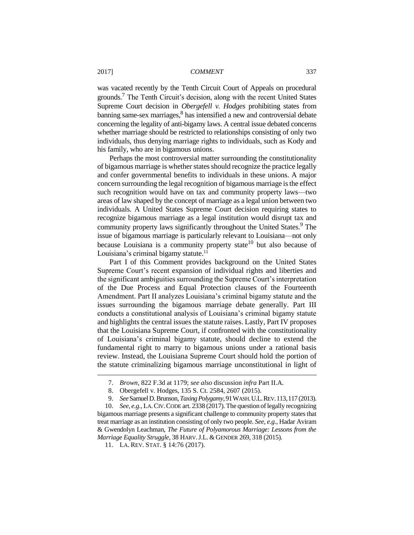was vacated recently by the Tenth Circuit Court of Appeals on procedural grounds.<sup>7</sup> The Tenth Circuit's decision, along with the recent United States Supreme Court decision in *Obergefell v. Hodges* prohibiting states from banning same-sex marriages, <sup>8</sup> has intensified a new and controversial debate concerning the legality of anti-bigamy laws. A central issue debated concerns whether marriage should be restricted to relationships consisting of only two individuals, thus denying marriage rights to individuals, such as Kody and his family, who are in bigamous unions.

Perhaps the most controversial matter surrounding the constitutionality of bigamous marriage is whether states should recognize the practice legally and confer governmental benefits to individuals in these unions. A major concern surrounding the legal recognition of bigamous marriage is the effect such recognition would have on tax and community property laws—two areas of law shaped by the concept of marriage as a legal union between two individuals. A United States Supreme Court decision requiring states to recognize bigamous marriage as a legal institution would disrupt tax and community property laws significantly throughout the United States.<sup>9</sup> The issue of bigamous marriage is particularly relevant to Louisiana—not only because Louisiana is a community property state<sup>10</sup> but also because of Louisiana's criminal bigamy statute. $11$ 

Part I of this Comment provides background on the United States Supreme Court's recent expansion of individual rights and liberties and the significant ambiguities surrounding the Supreme Court's interpretation of the Due Process and Equal Protection clauses of the Fourteenth Amendment. Part II analyzes Louisiana's criminal bigamy statute and the issues surrounding the bigamous marriage debate generally. Part III conducts a constitutional analysis of Louisiana's criminal bigamy statute and highlights the central issues the statute raises. Lastly, Part IV proposes that the Louisiana Supreme Court, if confronted with the constitutionality of Louisiana's criminal bigamy statute, should decline to extend the fundamental right to marry to bigamous unions under a rational basis review. Instead, the Louisiana Supreme Court should hold the portion of the statute criminalizing bigamous marriage unconstitutional in light of

<sup>7.</sup> *Brown*, 822 F.3d at 1179; *see also* discussion *infra* Part II.A.

<sup>8.</sup> Obergefell v. Hodges, 135 S. Ct. 2584, 2607 (2015).

<sup>9.</sup> *See*Samuel D. Brunson, *Taxing Polygamy*, 91WASH.U.L.REV.113,117 (2013).

<sup>10.</sup> *See, e.g.*, LA.CIV.CODE art. 2338 (2017). The question of legally recognizing bigamous marriage presents a significant challenge to community property states that treat marriage as an institution consisting of only two people. *See, e.g.*, Hadar Aviram & Gwendolyn Leachman, *The Future of Polyamorous Marriage: Lessons from the Marriage Equality Struggle, 38 HARV. J.L. & GENDER 269, 318 (2015).* 

<sup>11.</sup> LA. REV. STAT. § 14:76 (2017).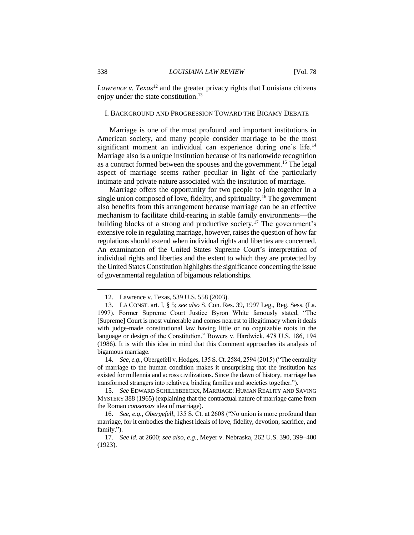*Lawrence v. Texas*<sup>12</sup> and the greater privacy rights that Louisiana citizens enjoy under the state constitution.<sup>13</sup>

#### I. BACKGROUND AND PROGRESSION TOWARD THE BIGAMY DEBATE

Marriage is one of the most profound and important institutions in American society, and many people consider marriage to be the most significant moment an individual can experience during one's life.<sup>14</sup> Marriage also is a unique institution because of its nationwide recognition as a contract formed between the spouses and the government.<sup>15</sup> The legal aspect of marriage seems rather peculiar in light of the particularly intimate and private nature associated with the institution of marriage.

Marriage offers the opportunity for two people to join together in a single union composed of love, fidelity, and spirituality.<sup>16</sup> The government also benefits from this arrangement because marriage can be an effective mechanism to facilitate child-rearing in stable family environments—the building blocks of a strong and productive society.<sup>17</sup> The government's extensive role in regulating marriage, however, raises the question of how far regulations should extend when individual rights and liberties are concerned. An examination of the United States Supreme Court's interpretation of individual rights and liberties and the extent to which they are protected by the United States Constitution highlights the significance concerning the issue of governmental regulation of bigamous relationships.

14. *See, e.g.*, Obergefell v. Hodges, 135 S. Ct. 2584, 2594 (2015) ("The centrality of marriage to the human condition makes it unsurprising that the institution has existed for millennia and across civilizations. Since the dawn of history, marriage has transformed strangers into relatives, binding families and societies together.").

15*. See* EDWARD SCHILLEBEECKX, MARRIAGE: HUMAN REALITY AND SAVING MYSTERY 388 (1965) (explaining that the contractual nature of marriage came from the Roman *consensus* idea of marriage).

16. *See, e.g.*, *Obergefell*, 135 S. Ct. at 2608 ("No union is more profound than marriage, for it embodies the highest ideals of love, fidelity, devotion, sacrifice, and family.").

17. *See id.* at 2600; *see also, e.g.*, Meyer v. Nebraska, 262 U.S. 390, 399–400 (1923).

<sup>12.</sup> Lawrence v. Texas, 539 U.S. 558 (2003).

<sup>13.</sup> LA CONST. art. I, § 5; *see also* S. Con. Res. 39, 1997 Leg., Reg. Sess. (La. 1997). Former Supreme Court Justice Byron White famously stated, "The [Supreme] Court is most vulnerable and comes nearest to illegitimacy when it deals with judge-made constitutional law having little or no cognizable roots in the language or design of the Constitution." Bowers v. Hardwick, 478 U.S. 186, 194 (1986). It is with this idea in mind that this Comment approaches its analysis of bigamous marriage.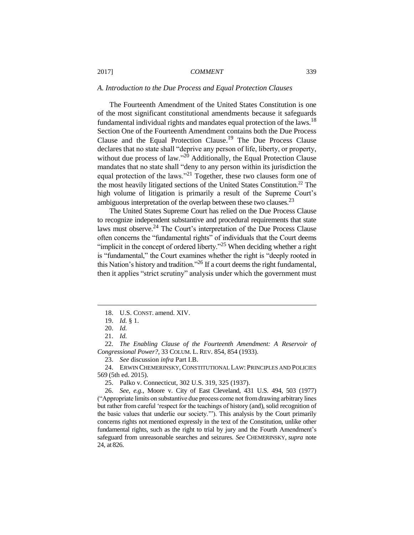#### *A. Introduction to the Due Process and Equal Protection Clauses*

The Fourteenth Amendment of the United States Constitution is one of the most significant constitutional amendments because it safeguards fundamental individual rights and mandates equal protection of the laws.<sup>18</sup> Section One of the Fourteenth Amendment contains both the Due Process Clause and the Equal Protection Clause.<sup>19</sup> The Due Process Clause declares that no state shall "deprive any person of life, liberty, or property, without due process of law." $^{20}$  Additionally, the Equal Protection Clause mandates that no state shall "deny to any person within its jurisdiction the equal protection of the laws."<sup>21</sup> Together, these two clauses form one of the most heavily litigated sections of the United States Constitution.<sup>22</sup> The high volume of litigation is primarily a result of the Supreme Court's ambiguous interpretation of the overlap between these two clauses.<sup>23</sup>

The United States Supreme Court has relied on the Due Process Clause to recognize independent substantive and procedural requirements that state laws must observe.<sup>24</sup> The Court's interpretation of the Due Process Clause often concerns the "fundamental rights" of individuals that the Court deems "implicit in the concept of ordered liberty."<sup>25</sup> When deciding whether a right is "fundamental," the Court examines whether the right is "deeply rooted in this Nation's history and tradition."<sup>26</sup> If a court deems the right fundamental, then it applies "strict scrutiny" analysis under which the government must

 $\overline{a}$ 

24. ERWIN CHEMERINSKY, CONSTITUTIONAL LAW: PRINCIPLES AND POLICIES 569 (5th ed. 2015).

<sup>18.</sup> U.S. CONST. amend. XIV.

<sup>19.</sup> *Id.* § 1.

<sup>20.</sup> *Id.*

<sup>21.</sup> *Id.*

<sup>22.</sup> *The Enabling Clause of the Fourteenth Amendment: A Reservoir of Congressional Power?*, 33 COLUM. L. REV. 854, 854 (1933).

<sup>23.</sup> *See* discussion *infra* Part I.B.

<sup>25.</sup> Palko v. Connecticut, 302 U.S. 319, 325 (1937).

<sup>26.</sup> *See, e.g.*, Moore v. City of East Cleveland, 431 U.S. 494, 503 (1977) ("Appropriate limits on substantive due process come not from drawing arbitrary lines but rather from careful 'respect for the teachings of history (and), solid recognition of the basic values that underlie our society.'"). This analysis by the Court primarily concerns rights not mentioned expressly in the text of the Constitution, unlike other fundamental rights, such as the right to trial by jury and the Fourth Amendment's safeguard from unreasonable searches and seizures. *See* CHEMERINSKY, *supra* note 24, at 826.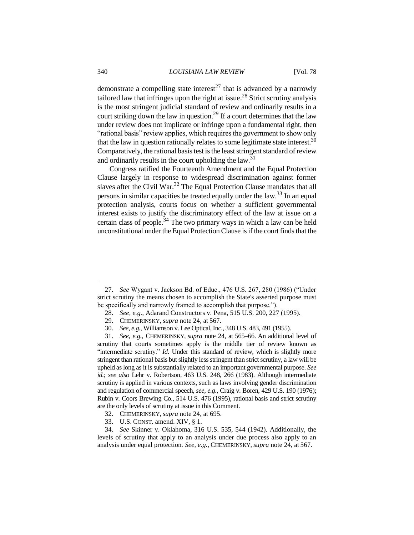demonstrate a compelling state interest<sup>27</sup> that is advanced by a narrowly tailored law that infringes upon the right at issue.<sup>28</sup> Strict scrutiny analysis is the most stringent judicial standard of review and ordinarily results in a court striking down the law in question.<sup>29</sup> If a court determines that the law under review does not implicate or infringe upon a fundamental right, then "rational basis" review applies, which requires the government to show only that the law in question rationally relates to some legitimate state interest.<sup>30</sup> Comparatively, the rational basis test is the least stringent standard of review and ordinarily results in the court upholding the law. $31$ 

Congress ratified the Fourteenth Amendment and the Equal Protection Clause largely in response to widespread discrimination against former slaves after the Civil War.<sup>32</sup> The Equal Protection Clause mandates that all persons in similar capacities be treated equally under the law.<sup>33</sup> In an equal protection analysis, courts focus on whether a sufficient governmental interest exists to justify the discriminatory effect of the law at issue on a certain class of people.<sup>34</sup> The two primary ways in which a law can be held unconstitutional under the Equal Protection Clause is if the court finds that the

<sup>27.</sup> *See* Wygant v. Jackson Bd. of Educ., 476 U.S. 267, 280 (1986) ("Under strict scrutiny the means chosen to accomplish the State's asserted purpose must be specifically and narrowly framed to accomplish that purpose.").

<sup>28.</sup> *See, e.g.*, Adarand Constructors v. Pena, 515 U.S. 200, 227 (1995).

<sup>29.</sup> CHEMERINSKY, *supra* note 24, at 567.

<sup>30.</sup> *See, e.g.*, Williamson v. Lee Optical, Inc., 348 U.S. 483, 491 (1955).

<sup>31.</sup> *See, e.g.*, CHEMERINSKY, *supra* note 24, at 565–66. An additional level of scrutiny that courts sometimes apply is the middle tier of review known as "intermediate scrutiny." *Id*. Under this standard of review, which is slightly more stringent than rational basis but slightly less stringent than strict scrutiny, a law will be upheld as long as it is substantially related to an important governmental purpose. *See id.*; *see also* Lehr v. Robertson, 463 U.S. 248, 266 (1983). Although intermediate scrutiny is applied in various contexts, such as laws involving gender discrimination and regulation of commercial speech, *see, e.g.*, Craig v. Boren, 429 U.S. 190 (1976); Rubin v. Coors Brewing Co., 514 U.S. 476 (1995), rational basis and strict scrutiny are the only levels of scrutiny at issue in this Comment.

<sup>32.</sup> CHEMERINSKY, *supra* note 24, at 695.

<sup>33.</sup> U.S. CONST. amend. XIV, § 1.

<sup>34.</sup> *See* Skinner v. Oklahoma, 316 U.S. 535, 544 (1942). Additionally, the levels of scrutiny that apply to an analysis under due process also apply to an analysis under equal protection. *See, e.g.*, CHEMERINSKY, *supra* note 24, at 567.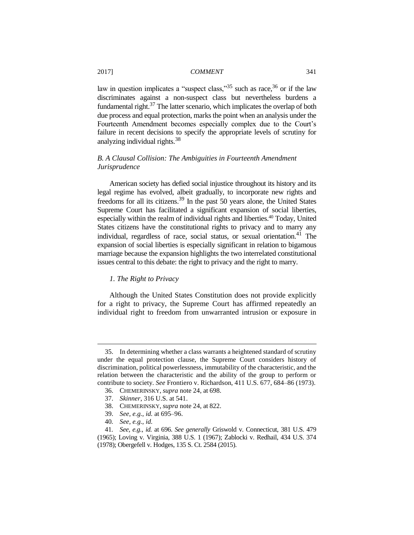law in question implicates a "suspect class,"  $35$  such as race,  $36$  or if the law discriminates against a non-suspect class but nevertheless burdens a fundamental right.<sup>37</sup> The latter scenario, which implicates the overlap of both due process and equal protection, marks the point when an analysis under the Fourteenth Amendment becomes especially complex due to the Court's failure in recent decisions to specify the appropriate levels of scrutiny for analyzing individual rights.<sup>38</sup>

## *B. A Clausal Collision: The Ambiguities in Fourteenth Amendment Jurisprudence*

American society has defied social injustice throughout its history and its legal regime has evolved, albeit gradually, to incorporate new rights and freedoms for all its citizens.<sup>39</sup> In the past 50 years alone, the United States Supreme Court has facilitated a significant expansion of social liberties, especially within the realm of individual rights and liberties. <sup>40</sup> Today, United States citizens have the constitutional rights to privacy and to marry any individual, regardless of race, social status, or sexual orientation.<sup>41</sup> The expansion of social liberties is especially significant in relation to bigamous marriage because the expansion highlights the two interrelated constitutional issues central to this debate: the right to privacy and the right to marry.

# *1. The Right to Privacy*

Although the United States Constitution does not provide explicitly for a right to privacy, the Supreme Court has affirmed repeatedly an individual right to freedom from unwarranted intrusion or exposure in

<sup>35.</sup> In determining whether a class warrants a heightened standard of scrutiny under the equal protection clause, the Supreme Court considers history of discrimination, political powerlessness, immutability of the characteristic, and the relation between the characteristic and the ability of the group to perform or contribute to society. *See* Frontiero v. Richardson, 411 U.S. 677, 684–86 (1973).

<sup>36.</sup> CHEMERINSKY, *supra* note 24, at 698.

<sup>37.</sup> *Skinner*, 316 U.S. at 541.

<sup>38.</sup> CHEMERINSKY, *supra* note 24, at 822.

<sup>39.</sup> *See, e.g.*, *id.* at 695–96.

<sup>40</sup>*. See, e.g.*, *id.*

<sup>41</sup>*. See, e.g.*, *id.* at 696. *See generally* Griswold v. Connecticut, 381 U.S. 479 (1965); Loving v. Virginia, 388 U.S. 1 (1967); Zablocki v. Redhail, 434 U.S. 374 (1978); Obergefell v. Hodges, 135 S. Ct. 2584 (2015).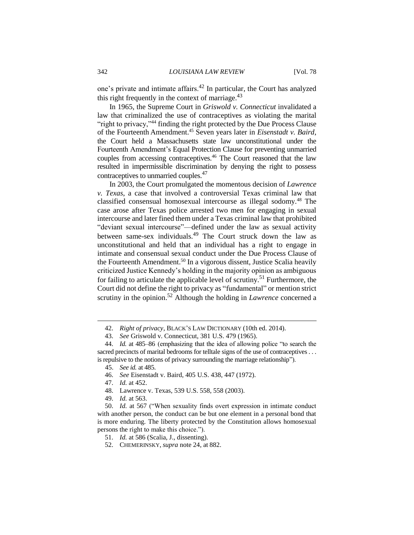one's private and intimate affairs.<sup>42</sup> In particular, the Court has analyzed this right frequently in the context of marriage. $43$ 

In 1965, the Supreme Court in *Griswold v. Connecticut* invalidated a law that criminalized the use of contraceptives as violating the marital "right to privacy,"<sup>44</sup> finding the right protected by the Due Process Clause of the Fourteenth Amendment.<sup>45</sup> Seven years later in *Eisenstadt v. Baird*, the Court held a Massachusetts state law unconstitutional under the Fourteenth Amendment's Equal Protection Clause for preventing unmarried couples from accessing contraceptives.<sup>46</sup> The Court reasoned that the law resulted in impermissible discrimination by denying the right to possess contraceptives to unmarried couples.<sup>47</sup>

In 2003, the Court promulgated the momentous decision of *Lawrence v. Texas*, a case that involved a controversial Texas criminal law that classified consensual homosexual intercourse as illegal sodomy.<sup>48</sup> The case arose after Texas police arrested two men for engaging in sexual intercourse and later fined them under a Texas criminal law that prohibited "deviant sexual intercourse"—defined under the law as sexual activity between same-sex individuals.<sup>49</sup> The Court struck down the law as unconstitutional and held that an individual has a right to engage in intimate and consensual sexual conduct under the Due Process Clause of the Fourteenth Amendment. <sup>50</sup> In a vigorous dissent, Justice Scalia heavily criticized Justice Kennedy's holding in the majority opinion as ambiguous for failing to articulate the applicable level of scrutiny.<sup>51</sup> Furthermore, the Court did not define the right to privacy as "fundamental" or mention strict scrutiny in the opinion. <sup>52</sup> Although the holding in *Lawrence* concerned a

<sup>42.</sup> *Right of privacy*, BLACK'S LAW DICTIONARY (10th ed. 2014).

<sup>43.</sup> *See* Griswold v. Connecticut, 381 U.S. 479 (1965).

<sup>44.</sup> *Id.* at 485–86 (emphasizing that the idea of allowing police "to search the sacred precincts of marital bedrooms for telltale signs of the use of contraceptives . . . is repulsive to the notions of privacy surrounding the marriage relationship").

<sup>45.</sup> *See id.* at 485.

<sup>46.</sup> *See* Eisenstadt v. Baird, 405 U.S. 438, 447 (1972).

<sup>47.</sup> *Id.* at 452.

<sup>48.</sup> Lawrence v. Texas, 539 U.S. 558, 558 (2003).

<sup>49.</sup> *Id.* at 563.

<sup>50.</sup> *Id.* at 567 ("When sexuality finds overt expression in intimate conduct with another person, the conduct can be but one element in a personal bond that is more enduring. The liberty protected by the Constitution allows homosexual persons the right to make this choice.").

<sup>51.</sup> *Id.* at 586 (Scalia, J., dissenting).

<sup>52.</sup> CHEMERINSKY, *supra* note 24, at 882.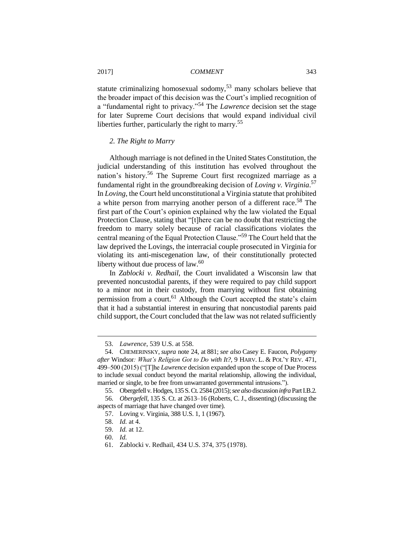statute criminalizing homosexual sodomy,<sup>53</sup> many scholars believe that the broader impact of this decision was the Court's implied recognition of a "fundamental right to privacy."<sup>54</sup> The *Lawrence* decision set the stage for later Supreme Court decisions that would expand individual civil liberties further, particularly the right to marry.<sup>55</sup>

#### *2. The Right to Marry*

Although marriage is not defined in the United States Constitution, the judicial understanding of this institution has evolved throughout the nation's history.<sup>56</sup> The Supreme Court first recognized marriage as a fundamental right in the groundbreaking decision of *Loving v. Virginia*. 57 In *Loving*, the Court held unconstitutional a Virginia statute that prohibited a white person from marrying another person of a different race.<sup>58</sup> The first part of the Court's opinion explained why the law violated the Equal Protection Clause, stating that "[t]here can be no doubt that restricting the freedom to marry solely because of racial classifications violates the central meaning of the Equal Protection Clause."<sup>59</sup> The Court held that the law deprived the Lovings, the interracial couple prosecuted in Virginia for violating its anti-miscegenation law, of their constitutionally protected liberty without due process of  $law<sup>60</sup>$ .

In *Zablocki v. Redhail*, the Court invalidated a Wisconsin law that prevented noncustodial parents, if they were required to pay child support to a minor not in their custody, from marrying without first obtaining permission from a court.<sup>61</sup> Although the Court accepted the state's claim that it had a substantial interest in ensuring that noncustodial parents paid child support, the Court concluded that the law was not related sufficiently

<sup>53.</sup> *Lawrence*, 539 U.S. at 558.

<sup>54.</sup> CHEMERINSKY, *supra* note 24, at 881; *see also* Casey E. Faucon, *Polygamy after* Windsor*: What's Religion Got to Do with It?*, 9 HARV. L. & POL'Y REV. 471, 499–500 (2015) ("[T]he *Lawrence* decision expanded upon the scope of Due Process to include sexual conduct beyond the marital relationship, allowing the individual, married or single, to be free from unwarranted governmental intrusions.").

<sup>55.</sup> Obergefell v. Hodges, 135 S. Ct. 2584 (2015);*see also* discussion *infra* Part I.B.2*.*

<sup>56</sup>*. Obergefell*, 135 S. Ct. at 2613–16 (Roberts, C. J., dissenting) (discussing the aspects of marriage that have changed over time).

<sup>57.</sup> Loving v. Virginia, 388 U.S. 1, 1 (1967).

<sup>58.</sup> *Id.* at 4.

<sup>59.</sup> *Id.* at 12.

<sup>60.</sup> *Id.*

<sup>61.</sup> Zablocki v. Redhail, 434 U.S. 374, 375 (1978).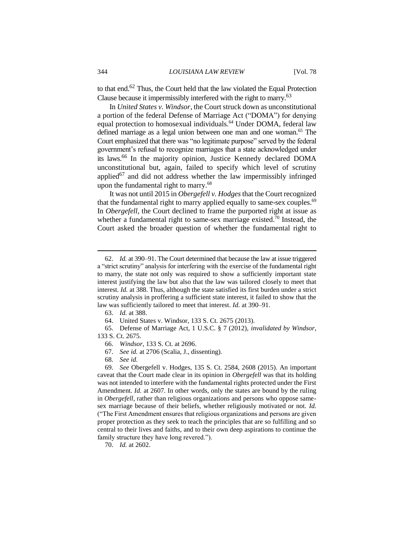to that end.<sup>62</sup> Thus, the Court held that the law violated the Equal Protection Clause because it impermissibly interfered with the right to marry.<sup>63</sup>

In *United States v. Windsor*, the Court struck down as unconstitutional a portion of the federal Defense of Marriage Act ("DOMA") for denying equal protection to homosexual individuals.<sup>64</sup> Under DOMA, federal law defined marriage as a legal union between one man and one woman.<sup>65</sup> The Court emphasized that there was "no legitimate purpose" served by the federal government's refusal to recognize marriages that a state acknowledged under its laws.<sup>66</sup> In the majority opinion, Justice Kennedy declared DOMA unconstitutional but, again, failed to specify which level of scrutiny applied<sup>67</sup> and did not address whether the law impermissibly infringed upon the fundamental right to marry.<sup>68</sup>

It was not until 2015 in *Obergefell v. Hodges*that the Court recognized that the fundamental right to marry applied equally to same-sex couples.<sup>69</sup> In *Obergefell*, the Court declined to frame the purported right at issue as whether a fundamental right to same-sex marriage existed.<sup>70</sup> Instead, the Court asked the broader question of whether the fundamental right to

 $\overline{a}$ 

65. Defense of Marriage Act, 1 U.S.C. § 7 (2012), *invalidated by Windsor*, 133 S. Ct. 2675.

67. *See id.* at 2706 (Scalia, J., dissenting).

<sup>62.</sup> *Id.* at 390–91. The Court determined that because the law at issue triggered a "strict scrutiny" analysis for interfering with the exercise of the fundamental right to marry, the state not only was required to show a sufficiently important state interest justifying the law but also that the law was tailored closely to meet that interest. *Id.* at 388. Thus, although the state satisfied its first burden under a strict scrutiny analysis in proffering a sufficient state interest, it failed to show that the law was sufficiently tailored to meet that interest. *Id.* at 390–91.

<sup>63.</sup> *Id.* at 388.

<sup>64.</sup> United States v. Windsor, 133 S. Ct. 2675 (2013).

<sup>66.</sup> *Windsor*, 133 S. Ct. at 2696.

<sup>68.</sup> *See id.*

<sup>69.</sup> *See* Obergefell v. Hodges, 135 S. Ct. 2584, 2608 (2015). An important caveat that the Court made clear in its opinion in *Obergefell* was that its holding was not intended to interfere with the fundamental rights protected under the First Amendment. *Id.* at 2607. In other words, only the states are bound by the ruling in *Obergefell*, rather than religious organizations and persons who oppose samesex marriage because of their beliefs, whether religiously motivated or not. *Id.* ("The First Amendment ensures that religious organizations and persons are given proper protection as they seek to teach the principles that are so fulfilling and so central to their lives and faiths, and to their own deep aspirations to continue the family structure they have long revered.").

<sup>70.</sup> *Id.* at 2602.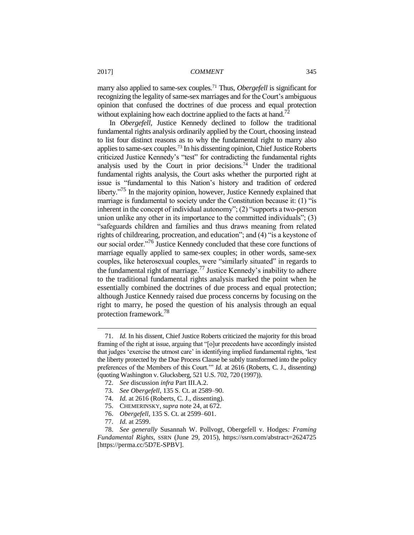marry also applied to same-sex couples.<sup>71</sup> Thus, *Obergefell* is significant for recognizing the legality of same-sex marriages and for the Court's ambiguous opinion that confused the doctrines of due process and equal protection without explaining how each doctrine applied to the facts at hand.<sup>72</sup>

In *Obergefell*, Justice Kennedy declined to follow the traditional fundamental rights analysis ordinarily applied by the Court, choosing instead to list four distinct reasons as to why the fundamental right to marry also applies to same-sex couples.<sup>73</sup> In his dissenting opinion, Chief Justice Roberts criticized Justice Kennedy's "test" for contradicting the fundamental rights analysis used by the Court in prior decisions.<sup>74</sup> Under the traditional fundamental rights analysis, the Court asks whether the purported right at issue is "fundamental to this Nation's history and tradition of ordered liberty."<sup>75</sup> In the majority opinion, however, Justice Kennedy explained that marriage is fundamental to society under the Constitution because it: (1) "is inherent in the concept of individual autonomy"; (2) "supports a two-person union unlike any other in its importance to the committed individuals"; (3) "safeguards children and families and thus draws meaning from related rights of childrearing, procreation, and education"; and (4) "is a keystone of our social order."<sup>76</sup> Justice Kennedy concluded that these core functions of marriage equally applied to same-sex couples; in other words, same-sex couples, like heterosexual couples, were "similarly situated" in regards to the fundamental right of marriage.<sup>77</sup> Justice Kennedy's inability to adhere to the traditional fundamental rights analysis marked the point when he essentially combined the doctrines of due process and equal protection; although Justice Kennedy raised due process concerns by focusing on the right to marry, he posed the question of his analysis through an equal protection framework.<sup>78</sup>

<sup>71.</sup> *Id.* In his dissent, Chief Justice Roberts criticized the majority for this broad framing of the right at issue, arguing that "[o]ur precedents have accordingly insisted that judges 'exercise the utmost care' in identifying implied fundamental rights, 'lest the liberty protected by the Due Process Clause be subtly transformed into the policy preferences of the Members of this Court.'" *Id.* at 2616 (Roberts, C. J., dissenting) (quoting Washington v. Glucksberg, 521 U.S. 702, 720 (1997)).

<sup>72.</sup> *See* discussion *infra* Part III.A.2.

<sup>73.</sup> *See Obergefell*, 135 S. Ct. at 2589–90.

<sup>74.</sup> *Id.* at 2616 (Roberts, C. J., dissenting).

<sup>75.</sup> CHEMERINSKY, *supra* note 24, at 672.

<sup>76.</sup> *Obergefell*, 135 S. Ct. at 2599–601.

<sup>77.</sup> *Id.* at 2599.

<sup>78.</sup> *See generally* Susannah W. Pollvogt, Obergefell v. Hodges*: Framing Fundamental Rights,* SSRN (June 29, 2015), https://ssrn.com/abstract=2624725 [https://perma.cc/5D7E-SPBV].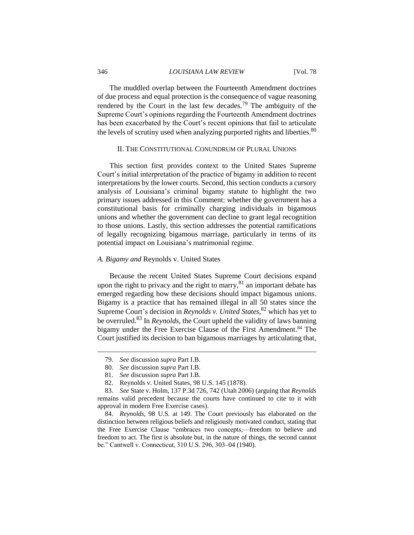The muddled overlap between the Fourteenth Amendment doctrines of due process and equal protection is the consequence of vague reasoning rendered by the Court in the last few decades.<sup>79</sup> The ambiguity of the Supreme Court's opinions regarding the Fourteenth Amendment doctrines has been exacerbated by the Court's recent opinions that fail to articulate the levels of scrutiny used when analyzing purported rights and liberties.<sup>80</sup>

#### II. THE CONSTITUTIONAL CONUNDRUM OF PLURAL UNIONS

This section first provides context to the United States Supreme Court's initial interpretation of the practice of bigamy in addition to recent interpretations by the lower courts. Second, this section conducts a cursory analysis of Louisiana's criminal bigamy statute to highlight the two primary issues addressed in this Comment: whether the government has a constitutional basis for criminally charging individuals in bigamous unions and whether the government can decline to grant legal recognition to those unions. Lastly, this section addresses the potential ramifications of legally recognizing bigamous marriage, particularly in terms of its potential impact on Louisiana's matrimonial regime.

#### *A. Bigamy and* Reynolds v. United States

Because the recent United States Supreme Court decisions expand upon the right to privacy and the right to marry, $81$  an important debate has emerged regarding how these decisions should impact bigamous unions. Bigamy is a practice that has remained illegal in all 50 states since the Supreme Court's decision in *Reynolds v. United States*, <sup>82</sup> which has yet to be overruled.<sup>83</sup> In *Reynolds*, the Court upheld the validity of laws banning bigamy under the Free Exercise Clause of the First Amendment.<sup>84</sup> The Court justified its decision to ban bigamous marriages by articulating that,

 $\overline{a}$ 

80. *See* discussion *supra* Part I.B.

82. Reynolds v. United States, 98 U.S. 145 (1878).

<sup>79.</sup> *See* discussion *supra* Part I.B.

<sup>81.</sup> *See* discussion *supra* Part I.B.

<sup>83.</sup> *See* State v. Holm, 137 P.3d 726, 742 (Utah 2006) (arguing that *Reynolds* remains valid precedent because the courts have continued to cite to it with approval in modern Free Exercise cases).

<sup>84.</sup> *Reynolds*, 98 U.S. at 149. The Court previously has elaborated on the distinction between religious beliefs and religiously motivated conduct, stating that the Free Exercise Clause "embraces two concepts,—freedom to believe and freedom to act. The first is absolute but, in the nature of things, the second cannot be." Cantwell v. Connecticut, 310 U.S. 296, 303–04 (1940).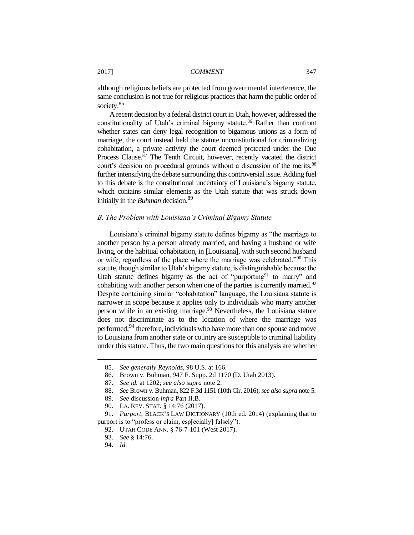although religious beliefs are protected from governmental interference, the same conclusion is not true for religious practices that harm the public order of society.<sup>85</sup>

A recent decision by a federal district court in Utah, however, addressed the constitutionality of Utah's criminal bigamy statute.<sup>86</sup> Rather than confront whether states can deny legal recognition to bigamous unions as a form of marriage, the court instead held the statute unconstitutional for criminalizing cohabitation, a private activity the court deemed protected under the Due Process Clause.<sup>87</sup> The Tenth Circuit, however, recently vacated the district court's decision on procedural grounds without a discussion of the merits,<sup>88</sup> further intensifying the debate surrounding this controversial issue. Adding fuel to this debate is the constitutional uncertainty of Louisiana's bigamy statute, which contains similar elements as the Utah statute that was struck down initially in the *Buhman* decision.<sup>89</sup>

#### *B. The Problem with Louisiana's Criminal Bigamy Statute*

Louisiana's criminal bigamy statute defines bigamy as "the marriage to another person by a person already married, and having a husband or wife living, or the habitual cohabitation, in [Louisiana], with such second husband or wife, regardless of the place where the marriage was celebrated."<sup>90</sup> This statute, though similar to Utah's bigamy statute, is distinguishable because the Utah statute defines bigamy as the act of "purporting<sup>91</sup> to marry" and cohabiting with another person when one of the parties is currently married.<sup>92</sup> Despite containing similar "cohabitation" language, the Louisiana statute is narrower in scope because it applies only to individuals who marry another person while in an existing marriage.<sup>93</sup> Nevertheless, the Louisiana statute does not discriminate as to the location of where the marriage was performed;<sup>94</sup> therefore, individuals who have more than one spouse and move to Louisiana from another state or country are susceptible to criminal liability under this statute. Thus, the two main questions for this analysis are whether

<sup>85.</sup> *See generally Reynolds*, 98 U.S. at 166.

<sup>86.</sup> Brown v. Buhman, 947 F. Supp. 2d 1170 (D. Utah 2013).

<sup>87.</sup> *See id.* at 1202; *see also supra* note 2.

<sup>88.</sup> *See* Brown v. Buhman, 822 F.3d 1151 (10th Cir. 2016); *see also supra* note 5.

<sup>89.</sup> *See* discussion *infra* Part II.B.

<sup>90.</sup> LA. REV. STAT. § 14:76 (2017).

<sup>91.</sup> *Purport*, BLACK'S LAW DICTIONARY (10th ed. 2014) (explaining that to purport is to "profess or claim, esp[ecially] falsely").

<sup>92.</sup> UTAH CODE ANN. § 76-7-101 (West 2017).

<sup>93.</sup> *See* § 14:76.

<sup>94.</sup> *Id.*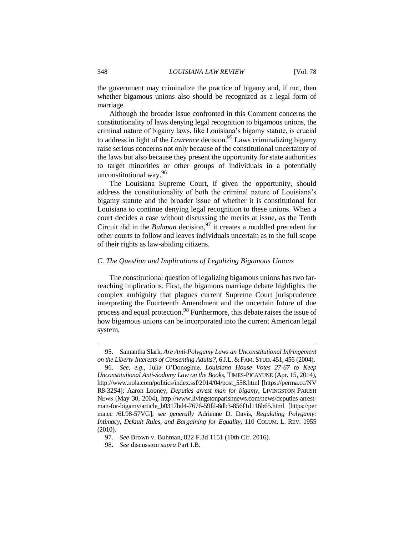the government may criminalize the practice of bigamy and, if not, then whether bigamous unions also should be recognized as a legal form of marriage.

Although the broader issue confronted in this Comment concerns the constitutionality of laws denying legal recognition to bigamous unions, the criminal nature of bigamy laws, like Louisiana's bigamy statute, is crucial to address in light of the *Lawrence* decision.<sup>95</sup> Laws criminalizing bigamy raise serious concerns not only because of the constitutional uncertainty of the laws but also because they present the opportunity for state authorities to target minorities or other groups of individuals in a potentially unconstitutional way.<sup>96</sup>

The Louisiana Supreme Court, if given the opportunity, should address the constitutionality of both the criminal nature of Louisiana's bigamy statute and the broader issue of whether it is constitutional for Louisiana to continue denying legal recognition to these unions. When a court decides a case without discussing the merits at issue, as the Tenth Circuit did in the *Buhman* decision,  $97$  it creates a muddled precedent for other courts to follow and leaves individuals uncertain as to the full scope of their rights as law-abiding citizens.

#### *C. The Question and Implications of Legalizing Bigamous Unions*

The constitutional question of legalizing bigamous unions has two farreaching implications. First, the bigamous marriage debate highlights the complex ambiguity that plagues current Supreme Court jurisprudence interpreting the Fourteenth Amendment and the uncertain future of due process and equal protection.<sup>98</sup> Furthermore, this debate raises the issue of how bigamous unions can be incorporated into the current American legal system.

<sup>95.</sup> Samantha Slark, *Are Anti-Polygamy Laws an Unconstitutional Infringement on the Liberty Interests of Consenting Adults?*, 6 J.L. & FAM. STUD. 451, 456 (2004).

<sup>96.</sup> *See, e.g.*, Julia O'Donoghue, *Louisiana House Votes 27-67 to Keep Unconstitutional Anti-Sodomy Law on the Books*, TIMES-PICAYUNE (Apr. 15, 2014), http://www.nola.com/politics/index.ssf/2014/04/post\_558.html [https://perma.cc/NV R8-32S4]; Aaron Looney, *Deputies arrest man for bigamy*, LIVINGSTON PARISH NEWS (May 30, 2004), http://www.livingstonparishnews.com/news/deputies-arrestman-for-bigamy/article\_b0317bd4-7676-59fd-8db3-856f1d116b65.html [https://per ma.cc /6L98-57VG]; *see generally* Adrienne D. Davis, *Regulating Polygamy: Intimacy, Default Rules, and Bargaining for Equality*, 110 COLUM. L. REV. 1955 (2010).

<sup>97.</sup> *See* Brown v. Buhman, 822 F.3d 1151 (10th Cir. 2016).

<sup>98.</sup> *See* discussion *supra* Part I.B.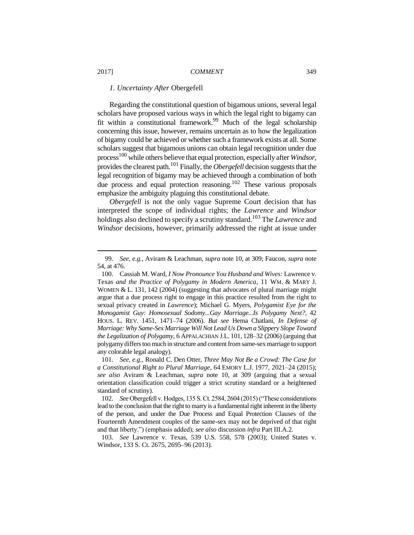#### *1. Uncertainty After* Obergefell

Regarding the constitutional question of bigamous unions, several legal scholars have proposed various ways in which the legal right to bigamy can fit within a constitutional framework.<sup>99</sup> Much of the legal scholarship concerning this issue, however, remains uncertain as to how the legalization of bigamy could be achieved or whether such a framework exists at all. Some scholars suggest that bigamous unions can obtain legal recognition under due process<sup>100</sup> while others believe that equal protection, especially after *Windsor*, provides the clearest path.<sup>101</sup> Finally, the *Obergefell* decision suggests that the legal recognition of bigamy may be achieved through a combination of both due process and equal protection reasoning.<sup>102</sup> These various proposals emphasize the ambiguity plaguing this constitutional debate.

*Obergefell* is not the only vague Supreme Court decision that has interpreted the scope of individual rights; the *Lawrence* and *Windsor* holdings also declined to specify a scrutiny standard.<sup>103</sup> The *Lawrence* and *Windsor* decisions, however, primarily addressed the right at issue under

<sup>99.</sup> *See, e.g.*, Aviram & Leachman, *supra* note 10, at 309; Faucon, *supra* note 54, at 476.

<sup>100.</sup> Cassiah M. Ward, *I Now Pronounce You Husband and Wives:* Lawrence v. Texas *and the Practice of Polygamy in Modern America*, 11 WM. & MARY J. WOMEN & L. 131, 142 (2004) (suggesting that advocates of plural marriage might argue that a due process right to engage in this practice resulted from the right to sexual privacy created in *Lawrence*); Michael G. Myers, *Polygamist Eye for the Monogamist Guy: Homosexual Sodomy...Gay Marriage...Is Polygamy Next?*, 42 HOUS. L. REV. 1451, 1471–74 (2006). *But see* Hema Chatlani, *In Defense of Marriage: Why Same-Sex Marriage Will Not Lead Us Down a Slippery Slope Toward the Legalization of Polygamy*, 6 APPALACHIAN J.L. 101, 128–32 (2006) (arguing that polygamy differs too much in structure and content from same-sex marriage to support any colorable legal analogy).

<sup>101.</sup> *See, e.g.*, Ronald C. Den Otter, *Three May Not Be a Crowd: The Case for a Constitutional Right to Plural Marriage*, 64 EMORY L.J. 1977, 2021–24 (2015); *see also* Aviram & Leachman, *supra* note 10, at 309 (arguing that a sexual orientation classification could trigger a strict scrutiny standard or a heightened standard of scrutiny).

<sup>102.</sup> *See* Obergefell v. Hodges, 135 S. Ct. 2584, 2604 (2015) ("These considerations lead to the conclusion that the right to marry is a fundamental right inherent in the liberty of the person, and under the Due Process and Equal Protection Clauses of the Fourteenth Amendment couples of the same-sex may not be deprived of that right and that liberty.") (emphasis added); *see also* discussion *infra* Part III.A.2*.*

<sup>103.</sup> *See* Lawrence v. Texas, 539 U.S. 558, 578 (2003); United States v. Windsor, 133 S. Ct. 2675, 2695–96 (2013).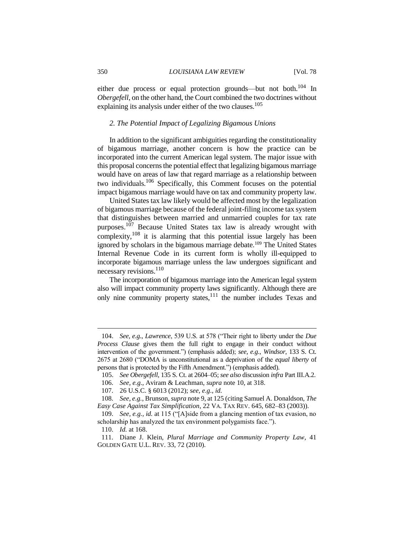either due process or equal protection grounds—but not both.<sup>104</sup> In *Obergefell*, on the other hand, the Court combined the two doctrines without explaining its analysis under either of the two clauses.<sup>105</sup>

#### *2. The Potential Impact of Legalizing Bigamous Unions*

In addition to the significant ambiguities regarding the constitutionality of bigamous marriage, another concern is how the practice can be incorporated into the current American legal system. The major issue with this proposal concerns the potential effect that legalizing bigamous marriage would have on areas of law that regard marriage as a relationship between two individuals.<sup>106</sup> Specifically, this Comment focuses on the potential impact bigamous marriage would have on tax and community property law.

United States tax law likely would be affected most by the legalization of bigamous marriage because of the federal joint-filing income tax system that distinguishes between married and unmarried couples for tax rate purposes.<sup>107</sup> Because United States tax law is already wrought with complexity, <sup>108</sup> it is alarming that this potential issue largely has been ignored by scholars in the bigamous marriage debate.<sup>109</sup> The United States Internal Revenue Code in its current form is wholly ill-equipped to incorporate bigamous marriage unless the law undergoes significant and necessary revisions.<sup>110</sup>

The incorporation of bigamous marriage into the American legal system also will impact community property laws significantly. Although there are only nine community property states, $111$  the number includes Texas and

<sup>104.</sup> *See, e.g.*, *Lawrence*, 539 U.S. at 578 ("Their right to liberty under the *Due Process Clause* gives them the full right to engage in their conduct without intervention of the government.") (emphasis added); *see, e.g.*, *Windsor*, 133 S. Ct. 2675 at 2680 ("DOMA is unconstitutional as a deprivation of the *equal liberty* of persons that is protected by the Fifth Amendment.") (emphasis added).

<sup>105.</sup> *See Obergefell*, 135 S. Ct. at 2604–05; *see also* discussion *infra* Part III.A.2.

<sup>106.</sup> *See, e.g.*, Aviram & Leachman, *supra* note 10, at 318.

<sup>107.</sup> 26 U.S.C. § 6013 (2012); s*ee, e*.*g*., *id.*

<sup>108.</sup> *See, e.g.*, Brunson, *supra* note 9, at 125 (citing Samuel A. Donaldson, *The Easy Case Against Tax Simplification*, 22 VA. TAX REV. 645, 682–83 (2003)).

<sup>109.</sup> *See, e.g.*, *id.* at 115 ("[A]side from a glancing mention of tax evasion, no scholarship has analyzed the tax environment polygamists face.").

<sup>110.</sup> *Id.* at 168.

<sup>111.</sup> Diane J. Klein, *Plural Marriage and Community Property Law*, 41 GOLDEN GATE U.L. REV. 33, 72 (2010).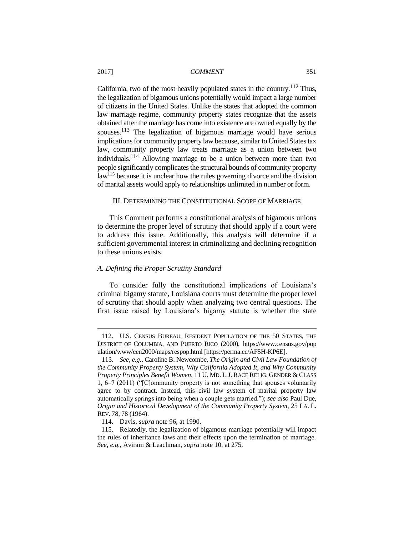California, two of the most heavily populated states in the country.<sup>112</sup> Thus, the legalization of bigamous unions potentially would impact a large number of citizens in the United States. Unlike the states that adopted the common law marriage regime, community property states recognize that the assets obtained after the marriage has come into existence are owned equally by the spouses.<sup>113</sup> The legalization of bigamous marriage would have serious implications for community property law because, similar to United States tax law, community property law treats marriage as a union between two individuals.<sup>114</sup> Allowing marriage to be a union between more than two people significantly complicates the structural bounds of community property law<sup>115</sup> because it is unclear how the rules governing divorce and the division of marital assets would apply to relationships unlimited in number or form.

#### III. DETERMINING THE CONSTITUTIONAL SCOPE OF MARRIAGE

This Comment performs a constitutional analysis of bigamous unions to determine the proper level of scrutiny that should apply if a court were to address this issue. Additionally, this analysis will determine if a sufficient governmental interest in criminalizing and declining recognition to these unions exists.

## *A. Defining the Proper Scrutiny Standard*

To consider fully the constitutional implications of Louisiana's criminal bigamy statute, Louisiana courts must determine the proper level of scrutiny that should apply when analyzing two central questions. The first issue raised by Louisiana's bigamy statute is whether the state

<sup>112.</sup> U.S. CENSUS BUREAU, RESIDENT POPULATION OF THE 50 STATES, THE DISTRICT OF COLUMBIA, AND PUERTO RICO (2000), https://www.census.gov/pop ulation/www/cen2000/maps/respop.html [https://perma.cc/AF5H-KP6E].

<sup>113.</sup> *See, e.g.*, Caroline B. Newcombe, *The Origin and Civil Law Foundation of the Community Property System, Why California Adopted It, and Why Community Property Principles Benefit Women*, 11 U. MD. L.J. RACE RELIG. GENDER & CLASS 1, 6–7 (2011) ("[C]ommunity property is not something that spouses voluntarily agree to by contract. Instead, this civil law system of marital property law automatically springs into being when a couple gets married."); *see also* Paul Due, *Origin and Historical Development of the Community Property System*, 25 LA. L. REV. 78, 78 (1964).

<sup>114.</sup> Davis, *supra* note 96, at 1990.

<sup>115.</sup> Relatedly, the legalization of bigamous marriage potentially will impact the rules of inheritance laws and their effects upon the termination of marriage. *See, e.g.*, Aviram & Leachman, *supra* note 10, at 275.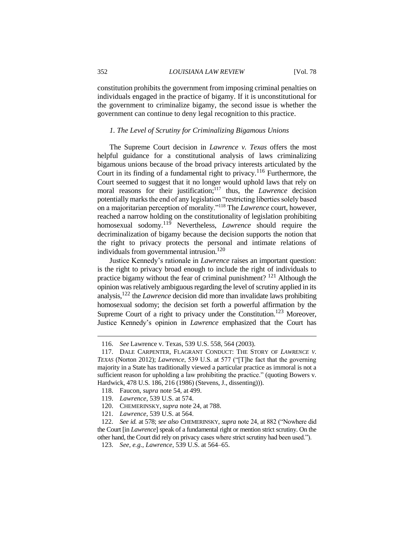constitution prohibits the government from imposing criminal penalties on individuals engaged in the practice of bigamy. If it is unconstitutional for the government to criminalize bigamy, the second issue is whether the government can continue to deny legal recognition to this practice.

#### *1. The Level of Scrutiny for Criminalizing Bigamous Unions*

The Supreme Court decision in *Lawrence v. Texas* offers the most helpful guidance for a constitutional analysis of laws criminalizing bigamous unions because of the broad privacy interests articulated by the Court in its finding of a fundamental right to privacy.<sup>116</sup> Furthermore, the Court seemed to suggest that it no longer would uphold laws that rely on moral reasons for their justification;<sup>117</sup> thus, the *Lawrence* decision potentially marks the end of any legislation "restricting liberties solely based on a majoritarian perception of morality."<sup>118</sup> The *Lawrence* court, however, reached a narrow holding on the constitutionality of legislation prohibiting homosexual sodomy.<sup>119</sup> Nevertheless, *Lawrence* should require the decriminalization of bigamy because the decision supports the notion that the right to privacy protects the personal and intimate relations of individuals from governmental intrusion.<sup>120</sup>

Justice Kennedy's rationale in *Lawrence* raises an important question: is the right to privacy broad enough to include the right of individuals to practice bigamy without the fear of criminal punishment? <sup>121</sup> Although the opinion was relatively ambiguous regarding the level of scrutiny applied in its analysis,<sup>122</sup> the *Lawrence* decision did more than invalidate laws prohibiting homosexual sodomy; the decision set forth a powerful affirmation by the Supreme Court of a right to privacy under the Constitution.<sup>123</sup> Moreover, Justice Kennedy's opinion in *Lawrence* emphasized that the Court has

<sup>116.</sup> *See* Lawrence v. Texas, 539 U.S. 558, 564 (2003).

<sup>117.</sup> DALE CARPENTER, FLAGRANT CONDUCT: THE STORY OF *LAWRENCE V. TEXAS* (Norton 2012); *Lawrence*, 539 U.S. at 577 ("[T]he fact that the governing majority in a State has traditionally viewed a particular practice as immoral is not a sufficient reason for upholding a law prohibiting the practice." (quoting Bowers v. Hardwick, 478 U.S. 186, 216 (1986) (Stevens, J., dissenting))).

<sup>118.</sup> Faucon, *supra* note 54, at 499.

<sup>119.</sup> *Lawrence*, 539 U.S. at 574.

<sup>120.</sup> CHEMERINSKY, *supra* note 24, at 788.

<sup>121.</sup> *Lawrence*, 539 U.S. at 564.

<sup>122.</sup> *See id.* at 578; *see also* CHEMERINSKY, *supra* note 24, at 882 ("Nowhere did the Court [in *Lawrence*] speak of a fundamental right or mention strict scrutiny. On the other hand, the Court did rely on privacy cases where strict scrutiny had been used.").

<sup>123.</sup> *See, e.g.*, *Lawrence*, 539 U.S. at 564–65.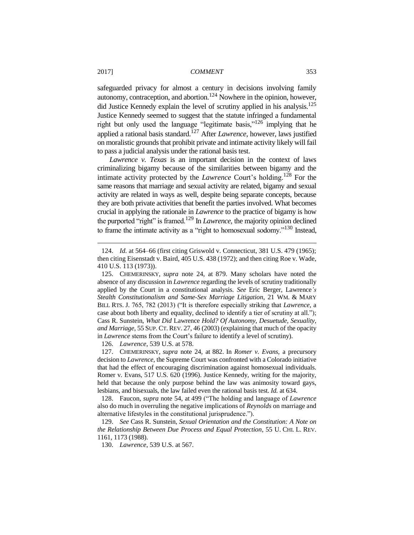safeguarded privacy for almost a century in decisions involving family autonomy, contraception, and abortion.<sup>124</sup> Nowhere in the opinion, however, did Justice Kennedy explain the level of scrutiny applied in his analysis.<sup>125</sup> Justice Kennedy seemed to suggest that the statute infringed a fundamental right but only used the language "legitimate basis,"<sup>126</sup> implying that he applied a rational basis standard.<sup>127</sup> After *Lawrence*, however, laws justified on moralistic grounds that prohibit private and intimate activity likely will fail to pass a judicial analysis under the rational basis test.

*Lawrence v. Texas* is an important decision in the context of laws criminalizing bigamy because of the similarities between bigamy and the intimate activity protected by the *Lawrence* Court's holding.<sup>128</sup> For the same reasons that marriage and sexual activity are related, bigamy and sexual activity are related in ways as well, despite being separate concepts, because they are both private activities that benefit the parties involved. What becomes crucial in applying the rationale in *Lawrence* to the practice of bigamy is how the purported "right" is framed.<sup>129</sup> In *Lawrence*, the majority opinion declined to frame the intimate activity as a "right to homosexual sodomy."<sup>130</sup> Instead,

126. *Lawrence*, 539 U.S. at 578.

127. CHEMERINSKY, *supra* note 24, at 882. In *Romer v. Evans*, a precursory decision to *Lawrence*, the Supreme Court was confronted with a Colorado initiative that had the effect of encouraging discrimination against homosexual individuals. Romer v. Evans, 517 U.S. 620 (1996). Justice Kennedy, writing for the majority, held that because the only purpose behind the law was animosity toward gays, lesbians, and bisexuals, the law failed even the rational basis test. *Id.* at 634.

128. Faucon, *supra* note 54, at 499 ("The holding and language of *Lawrence* also do much in overruling the negative implications of *Reynolds* on marriage and alternative lifestyles in the constitutional jurisprudence.").

129. *See* Cass R. Sunstein, *Sexual Orientation and the Constitution: A Note on the Relationship Between Due Process and Equal Protection*, 55 U. CHI. L. REV. 1161, 1173 (1988).

130. *Lawrence*, 539 U.S. at 567.

<sup>124.</sup> *Id.* at 564–66 (first citing Griswold v. Connecticut, 381 U.S. 479 (1965); then citing Eisenstadt v. Baird, 405 U.S. 438 (1972); and then citing Roe v. Wade, 410 U.S. 113 (1973)).

<sup>125.</sup> CHEMERINSKY, *supra* note 24, at 879. Many scholars have noted the absence of any discussion in *Lawrence* regarding the levels of scrutiny traditionally applied by the Court in a constitutional analysis. *See* Eric Berger, Lawrence*'s Stealth Constitutionalism and Same-Sex Marriage Litigation*, 21 WM. & MARY BILL RTS. J. 765, 782 (2013) ("It is therefore especially striking that *Lawrence*, a case about both liberty and equality, declined to identify a tier of scrutiny at all."); Cass R. Sunstein, *What Did* Lawrence *Hold? Of Autonomy, Desuetude, Sexuality, and Marriage*, 55 SUP. CT. REV. 27, 46 (2003) (explaining that much of the opacity in *Lawrence* stems from the Court's failure to identify a level of scrutiny).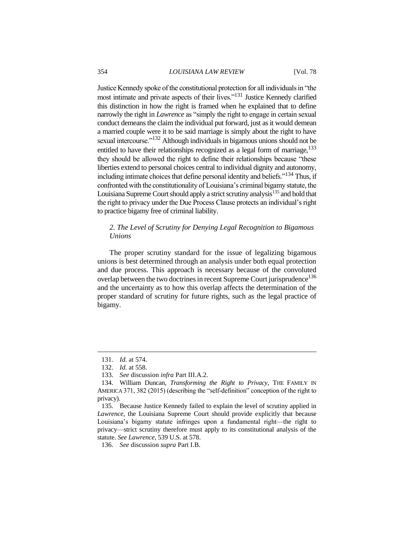Justice Kennedy spoke of the constitutional protection for all individuals in "the most intimate and private aspects of their lives."<sup>131</sup> Justice Kennedy clarified this distinction in how the right is framed when he explained that to define narrowly the right in *Lawrence* as "simply the right to engage in certain sexual conduct demeans the claim the individual put forward, just as it would demean a married couple were it to be said marriage is simply about the right to have sexual intercourse."<sup>132</sup> Although individuals in bigamous unions should not be entitled to have their relationships recognized as a legal form of marriage,  $133$ they should be allowed the right to define their relationships because "these liberties extend to personal choices central to individual dignity and autonomy, including intimate choices that define personal identity and beliefs.<sup> $134$ </sup> Thus, if confronted with the constitutionality of Louisiana's criminal bigamy statute, the Louisiana Supreme Court should apply a strict scrutiny analysis<sup>135</sup> and hold that the right to privacy under the Due Process Clause protects an individual's right to practice bigamy free of criminal liability.

# *2. The Level of Scrutiny for Denying Legal Recognition to Bigamous Unions*

The proper scrutiny standard for the issue of legalizing bigamous unions is best determined through an analysis under both equal protection and due process. This approach is necessary because of the convoluted overlap between the two doctrines in recent Supreme Court jurisprudence<sup>136</sup> and the uncertainty as to how this overlap affects the determination of the proper standard of scrutiny for future rights, such as the legal practice of bigamy.

<sup>131.</sup> *Id.* at 574.

<sup>132.</sup> *Id.* at 558.

<sup>133.</sup> *See* discussion *infra* Part III.A.2.

<sup>134.</sup> William Duncan, *Transforming the Right to Privacy*, THE FAMILY IN AMERICA 371, 382 (2015) (describing the "self-definition" conception of the right to privacy).

<sup>135.</sup> Because Justice Kennedy failed to explain the level of scrutiny applied in *Lawrence*, the Louisiana Supreme Court should provide explicitly that because Louisiana's bigamy statute infringes upon a fundamental right—the right to privacy—strict scrutiny therefore must apply to its constitutional analysis of the statute. *See Lawrence*, 539 U.S. at 578.

<sup>136.</sup> *See* discussion *supra* Part I.B.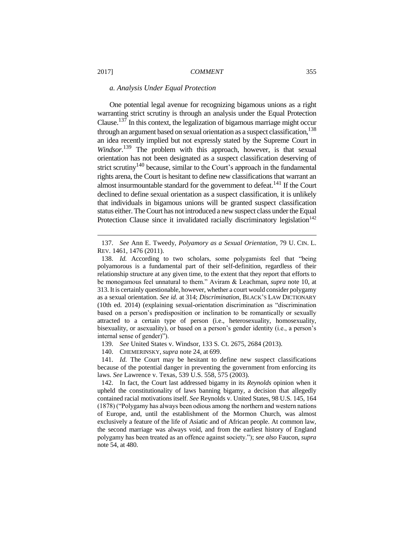#### *a. Analysis Under Equal Protection*

One potential legal avenue for recognizing bigamous unions as a right warranting strict scrutiny is through an analysis under the Equal Protection Clause.<sup>137</sup> In this context, the legalization of bigamous marriage might occur through an argument based on sexual orientation as a suspect classification.<sup>138</sup> an idea recently implied but not expressly stated by the Supreme Court in *Windsor*. <sup>139</sup> The problem with this approach, however, is that sexual orientation has not been designated as a suspect classification deserving of strict scrutiny<sup>140</sup> because, similar to the Court's approach in the fundamental rights arena, the Court is hesitant to define new classifications that warrant an almost insurmountable standard for the government to defeat.<sup>141</sup> If the Court declined to define sexual orientation as a suspect classification, it is unlikely that individuals in bigamous unions will be granted suspect classification status either. The Court has not introduced a new suspect class under the Equal Protection Clause since it invalidated racially discriminatory legislation<sup>142</sup>

139. *See* United States v. Windsor, 133 S. Ct. 2675, 2684 (2013).

140. CHEMERINSKY, *supra* note 24, at 699.

141. *Id.* The Court may be hesitant to define new suspect classifications because of the potential danger in preventing the government from enforcing its laws. *See* Lawrence v. Texas, 539 U.S. 558, 575 (2003).

142. In fact, the Court last addressed bigamy in its *Reynolds* opinion when it upheld the constitutionality of laws banning bigamy, a decision that allegedly contained racial motivations itself. *See* Reynolds v. United States, 98 U.S. 145, 164 (1878) ("Polygamy has always been odious among the northern and western nations of Europe, and, until the establishment of the Mormon Church, was almost exclusively a feature of the life of Asiatic and of African people. At common law, the second marriage was always void, and from the earliest history of England polygamy has been treated as an offence against society."); *see also* Faucon, *supra* note 54, at 480.

<sup>137.</sup> *See* Ann E. Tweedy, *Polyamory as a Sexual Orientation*, 79 U. CIN. L. REV. 1461, 1476 (2011).

<sup>138.</sup> *Id.* According to two scholars, some polygamists feel that "being polyamorous is a fundamental part of their self-definition, regardless of their relationship structure at any given time, to the extent that they report that efforts to be monogamous feel unnatural to them." Aviram & Leachman, *supra* note 10, at 313. It is certainly questionable, however, whether a court would consider polygamy as a sexual orientation. *See id.* at 314; *Discrimination*, BLACK'S LAW DICTIONARY (10th ed. 2014) (explaining sexual-orientation discrimination as "discrimination based on a person's predisposition or inclination to be romantically or sexually attracted to a certain type of person (i.e., heterosexuality, homosexuality, bisexuality, or asexuality), or based on a person's gender identity (i.e., a person's internal sense of gender)").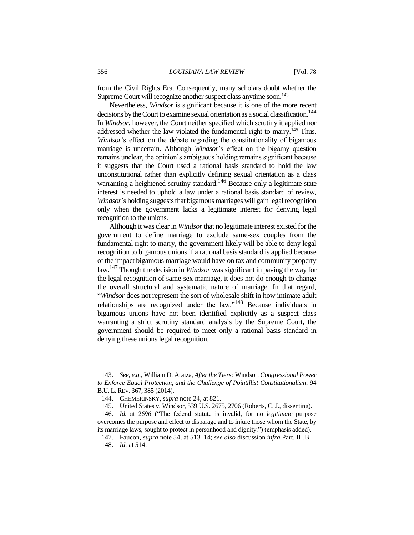from the Civil Rights Era. Consequently, many scholars doubt whether the Supreme Court will recognize another suspect class anytime soon.<sup>143</sup>

Nevertheless, *Windsor* is significant because it is one of the more recent decisions by the Court to examine sexual orientation as a social classification.<sup>144</sup> In *Windsor*, however, the Court neither specified which scrutiny it applied nor addressed whether the law violated the fundamental right to marry.<sup>145</sup> Thus, *Windsor*'s effect on the debate regarding the constitutionality of bigamous marriage is uncertain. Although *Windsor*'s effect on the bigamy question remains unclear, the opinion's ambiguous holding remains significant because it suggests that the Court used a rational basis standard to hold the law unconstitutional rather than explicitly defining sexual orientation as a class warranting a heightened scrutiny standard.<sup>146</sup> Because only a legitimate state interest is needed to uphold a law under a rational basis standard of review, *Windsor*'s holding suggests that bigamous marriages will gain legal recognition only when the government lacks a legitimate interest for denying legal recognition to the unions.

Although it was clear in *Windsor*that no legitimate interest existed for the government to define marriage to exclude same-sex couples from the fundamental right to marry, the government likely will be able to deny legal recognition to bigamous unions if a rational basis standard is applied because of the impact bigamous marriage would have on tax and community property law. <sup>147</sup> Though the decision in *Windsor* was significant in paving the way for the legal recognition of same-sex marriage, it does not do enough to change the overall structural and systematic nature of marriage. In that regard, "*Windsor* does not represent the sort of wholesale shift in how intimate adult relationships are recognized under the law."<sup>148</sup> Because individuals in bigamous unions have not been identified explicitly as a suspect class warranting a strict scrutiny standard analysis by the Supreme Court, the government should be required to meet only a rational basis standard in denying these unions legal recognition.

<sup>143.</sup> *See, e.g.*, William D. Araiza, *After the Tiers:* Windsor*, Congressional Power to Enforce Equal Protection, and the Challenge of Pointillist Constitutionalism*, 94 B.U. L. REV. 367, 385 (2014).

<sup>144.</sup> CHEMERINSKY, *supra* note 24, at 821.

<sup>145.</sup> United States v. Windsor, 539 U.S. 2675, 2706 (Roberts, C. J., dissenting).

<sup>146.</sup> *Id.* at 2696 ("The federal statute is invalid, for no *legitimate* purpose overcomes the purpose and effect to disparage and to injure those whom the State, by its marriage laws, sought to protect in personhood and dignity.") (emphasis added).

<sup>147.</sup> Faucon, *supra* note 54, at 513–14; *see also* discussion *infra* Part. III.B.

<sup>148.</sup> *Id.* at 514.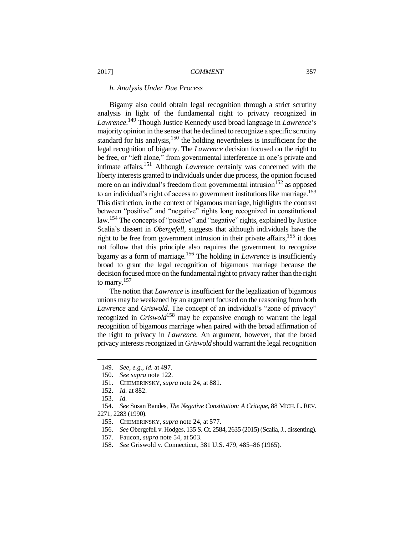#### *b. Analysis Under Due Process*

Bigamy also could obtain legal recognition through a strict scrutiny analysis in light of the fundamental right to privacy recognized in *Lawrence*. <sup>149</sup> Though Justice Kennedy used broad language in *Lawrence*'s majority opinion in the sense that he declined to recognize a specific scrutiny standard for his analysis, $150$  the holding nevertheless is insufficient for the legal recognition of bigamy. The *Lawrence* decision focused on the right to be free, or "left alone," from governmental interference in one's private and intimate affairs.<sup>151</sup> Although *Lawrence* certainly was concerned with the liberty interests granted to individuals under due process, the opinion focused more on an individual's freedom from governmental intrusion<sup>152</sup> as opposed to an individual's right of access to government institutions like marriage.<sup>153</sup> This distinction, in the context of bigamous marriage, highlights the contrast between "positive" and "negative" rights long recognized in constitutional law.<sup>154</sup> The concepts of "positive" and "negative" rights, explained by Justice Scalia's dissent in *Obergefell*, suggests that although individuals have the right to be free from government intrusion in their private affairs,  $155$  it does not follow that this principle also requires the government to recognize bigamy as a form of marriage.<sup>156</sup> The holding in *Lawrence* is insufficiently broad to grant the legal recognition of bigamous marriage because the decision focused more on the fundamental right to privacy rather than the right to marry.<sup>157</sup>

The notion that *Lawrence* is insufficient for the legalization of bigamous unions may be weakened by an argument focused on the reasoning from both *Lawrence* and *Griswold*. The concept of an individual's "zone of privacy" recognized in *Griswold*<sup>158</sup> may be expansive enough to warrant the legal recognition of bigamous marriage when paired with the broad affirmation of the right to privacy in *Lawrence*. An argument, however, that the broad privacy interests recognized in *Griswold* should warrant the legal recognition

<sup>149.</sup> *See, e.g.*, *id.* at 497.

<sup>150.</sup> *See supra* note 122.

<sup>151.</sup> CHEMERINSKY, *supra* note 24, at 881.

<sup>152.</sup> *Id.* at 882.

<sup>153.</sup> *Id.*

<sup>154.</sup> *See* Susan Bandes, *The Negative Constitution: A Critique*, 88 MICH. L. REV. 2271, 2283 (1990).

<sup>155.</sup> CHEMERINSKY, *supra* note 24, at 577.

<sup>156.</sup> *See* Obergefell v. Hodges, 135 S. Ct. 2584, 2635 (2015) (Scalia, J., dissenting).

<sup>157.</sup> Faucon, *supra* note 54, at 503.

<sup>158.</sup> *See* Griswold v. Connecticut, 381 U.S. 479, 485–86 (1965).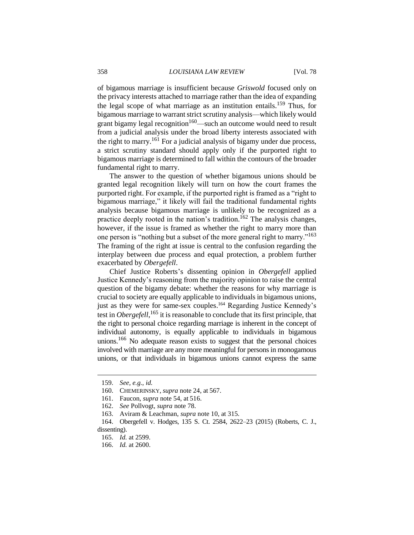of bigamous marriage is insufficient because *Griswold* focused only on the privacy interests attached to marriage rather than the idea of expanding the legal scope of what marriage as an institution entails.<sup>159</sup> Thus, for bigamous marriage to warrant strict scrutiny analysis—which likely would grant bigamy legal recognition<sup>160</sup>—such an outcome would need to result from a judicial analysis under the broad liberty interests associated with the right to marry.<sup>161</sup> For a judicial analysis of bigamy under due process, a strict scrutiny standard should apply only if the purported right to bigamous marriage is determined to fall within the contours of the broader fundamental right to marry.

The answer to the question of whether bigamous unions should be granted legal recognition likely will turn on how the court frames the purported right. For example, if the purported right is framed as a "right to bigamous marriage," it likely will fail the traditional fundamental rights analysis because bigamous marriage is unlikely to be recognized as a practice deeply rooted in the nation's tradition.<sup>162</sup> The analysis changes, however, if the issue is framed as whether the right to marry more than one person is "nothing but a subset of the more general right to marry."<sup>163</sup> The framing of the right at issue is central to the confusion regarding the interplay between due process and equal protection, a problem further exacerbated by *Obergefell*.

Chief Justice Roberts's dissenting opinion in *Obergefell* applied Justice Kennedy's reasoning from the majority opinion to raise the central question of the bigamy debate: whether the reasons for why marriage is crucial to society are equally applicable to individuals in bigamous unions, just as they were for same-sex couples.<sup>164</sup> Regarding Justice Kennedy's test in *Obergefell*, <sup>165</sup> it is reasonable to conclude that its first principle, that the right to personal choice regarding marriage is inherent in the concept of individual autonomy, is equally applicable to individuals in bigamous unions.<sup>166</sup> No adequate reason exists to suggest that the personal choices involved with marriage are any more meaningful for persons in monogamous unions, or that individuals in bigamous unions cannot express the same

<sup>159.</sup> *See, e.g.*, *id.*

<sup>160.</sup> CHEMERINSKY, *supra* note 24, at 567.

<sup>161.</sup> Faucon, *supra* note 54, at 516.

<sup>162.</sup> *See* Pollvogt, *supra* note 78.

<sup>163.</sup> Aviram & Leachman, *supra* note 10, at 315.

<sup>164.</sup> Obergefell v. Hodges, 135 S. Ct. 2584, 2622–23 (2015) (Roberts, C. J., dissenting).

<sup>165.</sup> *Id.* at 2599.

<sup>166.</sup> *Id.* at 2600.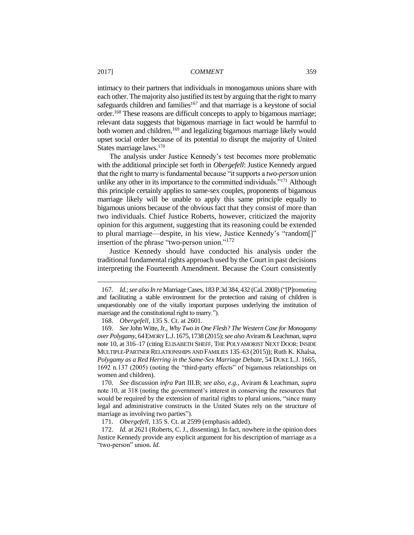intimacy to their partners that individuals in monogamous unions share with each other. The majority also justified its test by arguing that the right to marry safeguards children and families<sup>167</sup> and that marriage is a keystone of social order.<sup>168</sup> These reasons are difficult concepts to apply to bigamous marriage; relevant data suggests that bigamous marriage in fact would be harmful to both women and children, <sup>169</sup> and legalizing bigamous marriage likely would upset social order because of its potential to disrupt the majority of United States marriage laws.<sup>170</sup>

The analysis under Justice Kennedy's test becomes more problematic with the additional principle set forth in *Obergefell*: Justice Kennedy argued that the right to marry is fundamental because "it supports a *two-person* union unlike any other in its importance to the committed individuals."<sup>171</sup> Although this principle certainly applies to same-sex couples, proponents of bigamous marriage likely will be unable to apply this same principle equally to bigamous unions because of the obvious fact that they consist of more than two individuals. Chief Justice Roberts, however, criticized the majority opinion for this argument, suggesting that its reasoning could be extended to plural marriage—despite, in his view, Justice Kennedy's "random[]" insertion of the phrase "two-person union."<sup>172</sup>

Justice Kennedy should have conducted his analysis under the traditional fundamental rights approach used by the Court in past decisions interpreting the Fourteenth Amendment. Because the Court consistently

<sup>167.</sup> *Id.*; *see also In re*Marriage Cases, 183 P.3d 384, 432 (Cal. 2008)("[P]romoting and facilitating a stable environment for the protection and raising of children is unquestionably one of the vitally important purposes underlying the institution of marriage and the constitutional right to marry.").

<sup>168.</sup> *Obergefell*, 135 S. Ct. at 2601.

<sup>169.</sup> *See* John Witte, Jr., *Why Two in One Flesh? The Western Case for Monogamy over Polygamy*, 64EMORY L.J.1675,1738 (2015); *see also* Aviram & Leachman, *supra*  note 10, at 316–17 (citing ELISABETH SHEFF, THE POLYAMORIST NEXT DOOR: INSIDE MULTIPLE-PARTNER RELATIONSHIPS AND FAMILIES 135–63 (2015)); Ruth K. Khalsa, *Polygamy as a Red Herring in the Same-Sex Marriage Debate*, 54 DUKE L.J. 1665, 1692 n.137 (2005) (noting the "third-party effects" of bigamous relationships on women and children).

<sup>170.</sup> *See* discussion *infra* Part III.B; *see also, e.g.*, Aviram & Leachman, *supra*  note 10, at 318 (noting the government's interest in conserving the resources that would be required by the extension of marital rights to plural unions, "since many legal and administrative constructs in the United States rely on the structure of marriage as involving two parties").

<sup>171.</sup> *Obergefell*, 135 S. Ct. at 2599 (emphasis added).

<sup>172.</sup> *Id.* at 2621 (Roberts, C. J., dissenting). In fact, nowhere in the opinion does Justice Kennedy provide any explicit argument for his description of marriage as a "two-person" union. *Id.*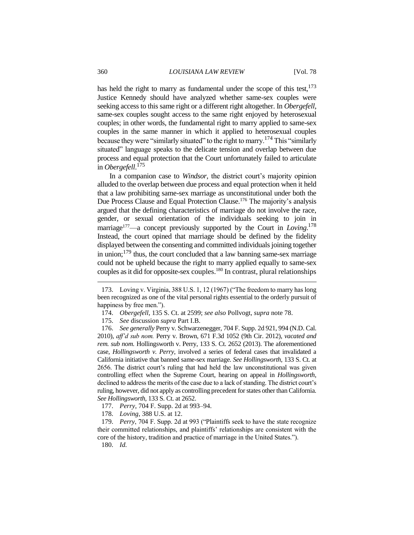has held the right to marry as fundamental under the scope of this test.<sup>173</sup> Justice Kennedy should have analyzed whether same-sex couples were seeking access to this same right or a different right altogether. In *Obergefell*, same-sex couples sought access to the same right enjoyed by heterosexual couples; in other words, the fundamental right to marry applied to same-sex couples in the same manner in which it applied to heterosexual couples because they were "similarly situated" to the right to marry.<sup>174</sup> This "similarly situated" language speaks to the delicate tension and overlap between due process and equal protection that the Court unfortunately failed to articulate in *Obergefell*. 175

In a companion case to *Windsor*, the district court's majority opinion alluded to the overlap between due process and equal protection when it held that a law prohibiting same-sex marriage as unconstitutional under both the Due Process Clause and Equal Protection Clause.<sup>176</sup> The majority's analysis argued that the defining characteristics of marriage do not involve the race, gender, or sexual orientation of the individuals seeking to join in marriage<sup>177</sup>—a concept previously supported by the Court in *Loving*.<sup>178</sup> Instead, the court opined that marriage should be defined by the fidelity displayed between the consenting and committed individuals joining together in union; $^{179}$  thus, the court concluded that a law banning same-sex marriage could not be upheld because the right to marry applied equally to same-sex couples as it did for opposite-sex couples.<sup>180</sup> In contrast, plural relationships

176. *See generally* Perry v. Schwarzenegger, 704 F. Supp. 2d 921, 994 (N.D. Cal. 2010), *aff'd sub nom.* Perry v. Brown, 671 F.3d 1052 (9th Cir. 2012), *vacated and rem. sub nom.* Hollingsworth v. Perry, 133 S. Ct. 2652 (2013). The aforementioned case, *Hollingsworth v. Perry*, involved a series of federal cases that invalidated a California initiative that banned same-sex marriage. *See Hollingsworth*, 133 S. Ct. at 2656. The district court's ruling that had held the law unconstitutional was given controlling effect when the Supreme Court, hearing on appeal in *Hollingsworth*, declined to address the merits of the case due to a lack of standing. The district court's ruling, however, did not apply as controlling precedent for states other than California. *See Hollingsworth*, 133 S. Ct. at 2652.

- 177. *Perry*, 704 F. Supp. 2d at 993–94.
- 178. *Loving*, 388 U.S. at 12.

179. *Perry*, 704 F. Supp. 2d at 993 ("Plaintiffs seek to have the state recognize their committed relationships, and plaintiffs' relationships are consistent with the core of the history, tradition and practice of marriage in the United States.").

180. *Id.*

<sup>173.</sup> Loving v. Virginia, 388 U.S. 1, 12 (1967) ("The freedom to marry has long been recognized as one of the vital personal rights essential to the orderly pursuit of happiness by free men.").

<sup>174.</sup> *Obergefell*, 135 S. Ct. at 2599; *see also* Pollvogt, *supra* note 78.

<sup>175.</sup> *See* discussion *supra* Part I.B.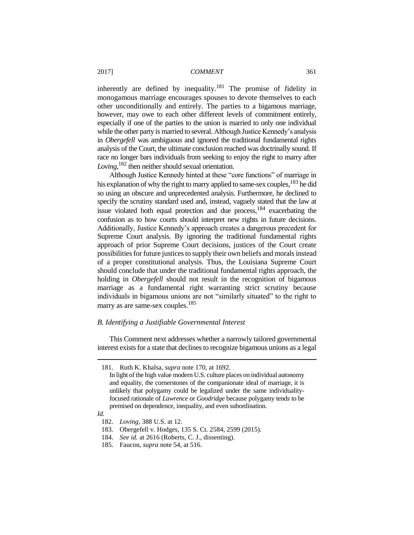inherently are defined by inequality.<sup>181</sup> The promise of fidelity in monogamous marriage encourages spouses to devote themselves to each other unconditionally and entirely. The parties to a bigamous marriage, however, may owe to each other different levels of commitment entirely, especially if one of the parties to the union is married to only one individual while the other party is married to several. Although Justice Kennedy's analysis in *Obergefell* was ambiguous and ignored the traditional fundamental rights analysis of the Court, the ultimate conclusion reached was doctrinally sound. If race no longer bars individuals from seeking to enjoy the right to marry after *Loving*, <sup>182</sup> then neither should sexual orientation.

Although Justice Kennedy hinted at these "core functions" of marriage in his explanation of why the right to marry applied to same-sex couples,  $^{183}$  he did so using an obscure and unprecedented analysis. Furthermore, he declined to specify the scrutiny standard used and, instead, vaguely stated that the law at issue violated both equal protection and due process,  $184$  exacerbating the confusion as to how courts should interpret new rights in future decisions. Additionally, Justice Kennedy's approach creates a dangerous precedent for Supreme Court analysis. By ignoring the traditional fundamental rights approach of prior Supreme Court decisions, justices of the Court create possibilities for future justices to supply their own beliefs and morals instead of a proper constitutional analysis. Thus, the Louisiana Supreme Court should conclude that under the traditional fundamental rights approach, the holding in *Obergefell* should not result in the recognition of bigamous marriage as a fundamental right warranting strict scrutiny because individuals in bigamous unions are not "similarly situated" to the right to marry as are same-sex couples.<sup>185</sup>

#### *B. Identifying a Justifiable Governmental Interest*

This Comment next addresses whether a narrowly tailored governmental interest exists for a state that declines to recognize bigamous unions as a legal

<sup>181.</sup> Ruth K. Khalsa, *supra* note 170, at 1692.

In light of the high value modern U.S. culture places on individual autonomy and equality, the cornerstones of the companionate ideal of marriage, it is unlikely that polygamy could be legalized under the same individualityfocused rationale of *Lawrence* or *Goodridge* because polygamy tends to be premised on dependence, inequality, and even subordination.

*Id.*

<sup>182.</sup> *Loving*, 388 U.S. at 12.

<sup>183.</sup> Obergefell v. Hodges, 135 S. Ct. 2584, 2599 (2015).

<sup>184.</sup> *See id.* at 2616 (Roberts, C. J., dissenting).

<sup>185.</sup> Faucon, *supra* note 54, at 516.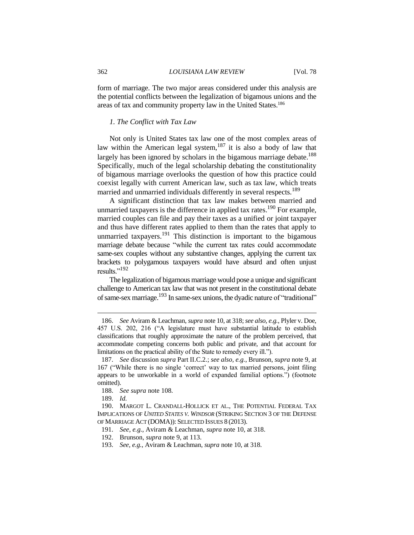form of marriage. The two major areas considered under this analysis are the potential conflicts between the legalization of bigamous unions and the areas of tax and community property law in the United States.<sup>186</sup>

#### *1. The Conflict with Tax Law*

Not only is United States tax law one of the most complex areas of law within the American legal system,  $187$  it is also a body of law that largely has been ignored by scholars in the bigamous marriage debate.<sup>188</sup> Specifically, much of the legal scholarship debating the constitutionality of bigamous marriage overlooks the question of how this practice could coexist legally with current American law, such as tax law, which treats married and unmarried individuals differently in several respects.<sup>189</sup>

A significant distinction that tax law makes between married and unmarried taxpayers is the difference in applied tax rates.<sup>190</sup> For example, married couples can file and pay their taxes as a unified or joint taxpayer and thus have different rates applied to them than the rates that apply to unmarried taxpayers.<sup>191</sup> This distinction is important to the bigamous marriage debate because "while the current tax rates could accommodate same-sex couples without any substantive changes, applying the current tax brackets to polygamous taxpayers would have absurd and often unjust results."<sup>192</sup>

The legalization of bigamous marriage would pose a unique and significant challenge to American tax law that was not present in the constitutional debate of same-sex marriage.<sup>193</sup> In same-sex unions, the dyadic nature of "traditional"

<sup>186.</sup> *See* Aviram & Leachman, *supra* note 10, at 318; *see also, e.g.*, Plyler v. Doe, 457 U.S. 202, 216 ("A legislature must have substantial latitude to establish classifications that roughly approximate the nature of the problem perceived, that accommodate competing concerns both public and private, and that account for limitations on the practical ability of the State to remedy every ill.").

<sup>187.</sup> *See* discussion *supra* Part II.C.2.; *see also, e.g.*, Brunson, *supra* note 9, at 167 ("While there is no single 'correct' way to tax married persons, joint filing appears to be unworkable in a world of expanded familial options.") (footnote omitted).

<sup>188.</sup> *See supra* note 108.

<sup>189.</sup> *Id.*

<sup>190.</sup> MARGOT L. CRANDALL-HOLLICK ET AL., THE POTENTIAL FEDERAL TAX IMPLICATIONS OF *UNITED STATES V. WINDSOR* (STRIKING SECTION 3 OF THE DEFENSE OF MARRIAGE ACT (DOMA)): SELECTED ISSUES 8 (2013).

<sup>191.</sup> *See, e.g.*, Aviram & Leachman, *supra* note 10, at 318.

<sup>192.</sup> Brunson, *supra* note 9, at 113.

<sup>193.</sup> *See, e.g.*, Aviram & Leachman, *supra* note 10, at 318.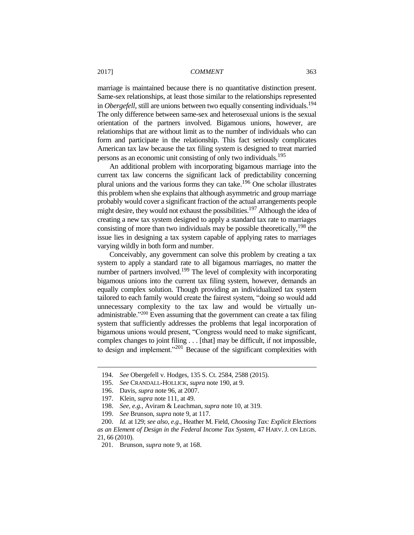marriage is maintained because there is no quantitative distinction present. Same-sex relationships, at least those similar to the relationships represented in *Obergefell*, still are unions between two equally consenting individuals.<sup>194</sup> The only difference between same-sex and heterosexual unions is the sexual orientation of the partners involved. Bigamous unions, however, are relationships that are without limit as to the number of individuals who can form and participate in the relationship. This fact seriously complicates American tax law because the tax filing system is designed to treat married persons as an economic unit consisting of only two individuals.<sup>195</sup>

An additional problem with incorporating bigamous marriage into the current tax law concerns the significant lack of predictability concerning plural unions and the various forms they can take.<sup>196</sup> One scholar illustrates this problem when she explains that although asymmetric and group marriage probably would cover a significant fraction of the actual arrangements people might desire, they would not exhaust the possibilities.<sup>197</sup> Although the idea of creating a new tax system designed to apply a standard tax rate to marriages consisting of more than two individuals may be possible theoretically, <sup>198</sup> the issue lies in designing a tax system capable of applying rates to marriages varying wildly in both form and number.

Conceivably, any government can solve this problem by creating a tax system to apply a standard rate to all bigamous marriages, no matter the number of partners involved.<sup>199</sup> The level of complexity with incorporating bigamous unions into the current tax filing system, however, demands an equally complex solution. Though providing an individualized tax system tailored to each family would create the fairest system, "doing so would add unnecessary complexity to the tax law and would be virtually unadministrable.<sup>2200</sup> Even assuming that the government can create a tax filing system that sufficiently addresses the problems that legal incorporation of bigamous unions would present, "Congress would need to make significant, complex changes to joint filing . . . [that] may be difficult, if not impossible, to design and implement."<sup>201</sup> Because of the significant complexities with

<sup>194.</sup> *See* Obergefell v. Hodges, 135 S. Ct. 2584, 2588 (2015).

<sup>195.</sup> *See* CRANDALL-HOLLICK, *supra* note 190, at 9.

<sup>196.</sup> Davis, *supra* note 96, at 2007.

<sup>197.</sup> Klein, *supra* note 111, at 49.

<sup>198.</sup> *See, e.g.*, Aviram & Leachman, *supra* note 10, at 319.

<sup>199.</sup> *See* Brunson, *supra* note 9, at 117.

<sup>200.</sup> *Id.* at 129; *see also, e.g.*, Heather M. Field, *Choosing Tax: Explicit Elections as an Element of Design in the Federal Income Tax System*, 47 HARV. J. ON LEGIS. 21, 66 (2010).

<sup>201.</sup> Brunson, *supra* note 9, at 168.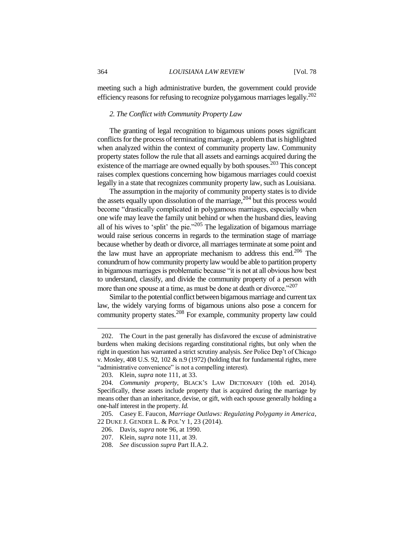meeting such a high administrative burden, the government could provide efficiency reasons for refusing to recognize polygamous marriages legally.<sup>202</sup>

#### *2. The Conflict with Community Property Law*

The granting of legal recognition to bigamous unions poses significant conflicts for the process of terminating marriage, a problem that is highlighted when analyzed within the context of community property law. Community property states follow the rule that all assets and earnings acquired during the existence of the marriage are owned equally by both spouses.<sup>203</sup> This concept raises complex questions concerning how bigamous marriages could coexist legally in a state that recognizes community property law, such as Louisiana.

The assumption in the majority of community property states is to divide the assets equally upon dissolution of the marriage,  $204$  but this process would become "drastically complicated in polygamous marriages, especially when one wife may leave the family unit behind or when the husband dies, leaving all of his wives to 'split' the pie."<sup>205</sup> The legalization of bigamous marriage would raise serious concerns in regards to the termination stage of marriage because whether by death or divorce, all marriages terminate at some point and the law must have an appropriate mechanism to address this end.<sup>206</sup> The conundrum of how community property law would be able to partition property in bigamous marriages is problematic because "it is not at all obvious how best to understand, classify, and divide the community property of a person with more than one spouse at a time, as must be done at death or divorce."<sup>207</sup>

Similar to the potential conflict between bigamous marriage and current tax law, the widely varying forms of bigamous unions also pose a concern for community property states.<sup>208</sup> For example, community property law could

<sup>202.</sup> The Court in the past generally has disfavored the excuse of administrative burdens when making decisions regarding constitutional rights, but only when the right in question has warranted a strict scrutiny analysis. *See* Police Dep't of Chicago v. Mosley, 408 U.S. 92, 102  $\&$  n.9 (1972) (holding that for fundamental rights, mere "administrative convenience" is not a compelling interest).

<sup>203.</sup> Klein, *supra* note 111, at 33.

<sup>204.</sup> *Community property*, BLACK'S LAW DICTIONARY (10th ed. 2014). Specifically, these assets include property that is acquired during the marriage by means other than an inheritance, devise, or gift, with each spouse generally holding a one-half interest in the property. *Id.*

<sup>205.</sup> Casey E. Faucon, *Marriage Outlaws: Regulating Polygamy in America*, 22 DUKE J. GENDER L. & POL'Y 1, 23 (2014).

<sup>206.</sup> Davis, *supra* note 96, at 1990.

<sup>207.</sup> Klein, *supra* note 111, at 39.

<sup>208.</sup> *See* discussion *supra* Part II.A.2.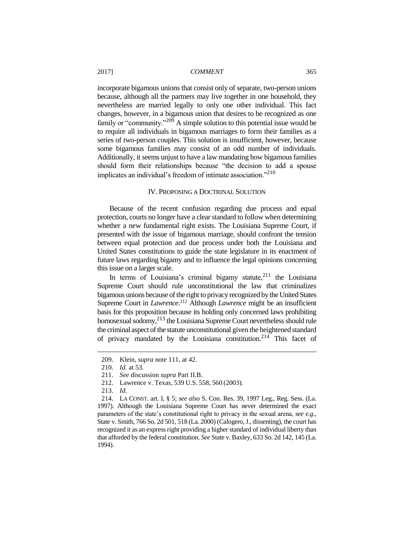incorporate bigamous unions that consist only of separate, two-person unions because, although all the partners may live together in one household, they nevertheless are married legally to only one other individual. This fact changes, however, in a bigamous union that desires to be recognized as one family or "community."<sup>209</sup> A simple solution to this potential issue would be to require all individuals in bigamous marriages to form their families as a series of two-person couples. This solution is insufficient, however, because some bigamous families may consist of an odd number of individuals. Additionally, it seems unjust to have a law mandating how bigamous families should form their relationships because "the decision to add a spouse implicates an individual's freedom of intimate association. $"^{210}$ 

#### IV. PROPOSING A DOCTRINAL SOLUTION

Because of the recent confusion regarding due process and equal protection, courts no longer have a clear standard to follow when determining whether a new fundamental right exists. The Louisiana Supreme Court, if presented with the issue of bigamous marriage, should confront the tension between equal protection and due process under both the Louisiana and United States constitutions to guide the state legislature in its enactment of future laws regarding bigamy and to influence the legal opinions concerning this issue on a larger scale.

In terms of Louisiana's criminal bigamy statute,  $2^{11}$  the Louisiana Supreme Court should rule unconstitutional the law that criminalizes bigamous unions because of the right to privacy recognized by the United States Supreme Court in *Lawrence*. <sup>212</sup> Although *Lawrence* might be an insufficient basis for this proposition because its holding only concerned laws prohibiting homosexual sodomy,<sup>213</sup> the Louisiana Supreme Court nevertheless should rule the criminal aspect of the statute unconstitutional given the heightened standard of privacy mandated by the Louisiana constitution.<sup>214</sup> This facet of

<sup>209.</sup> Klein, *supra* note 111, at 42.

<sup>210.</sup> *Id.* at 53.

<sup>211.</sup> *See* discussion *supra* Part II.B.

<sup>212.</sup> Lawrence v. Texas, 539 U.S. 558, 560 (2003).

<sup>213.</sup> *Id.*

<sup>214.</sup> LA CONST. art. I, § 5; *see also* S. Con. Res. 39, 1997 Leg., Reg. Sess. (La. 1997). Although the Louisiana Supreme Court has never determined the exact parameters of the state's constitutional right to privacy in the sexual arena, *see e.g.*, State v. Smith, 766 So. 2d 501, 518 (La. 2000) (Calogero, J., dissenting), the court has recognized it as an express right providing a higher standard of individual liberty than that afforded by the federal constitution. *See* State v. Baxley, 633 So. 2d 142, 145 (La. 1994).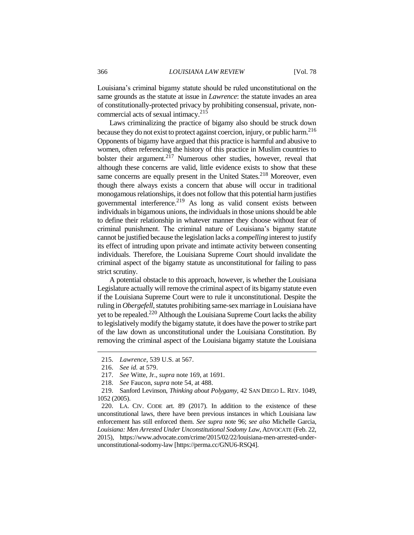Louisiana's criminal bigamy statute should be ruled unconstitutional on the same grounds as the statute at issue in *Lawrence*: the statute invades an area of constitutionally-protected privacy by prohibiting consensual, private, noncommercial acts of sexual intimacy.<sup>215</sup>

Laws criminalizing the practice of bigamy also should be struck down because they do not exist to protect against coercion, injury, or public harm.<sup>216</sup> Opponents of bigamy have argued that this practice is harmful and abusive to women, often referencing the history of this practice in Muslim countries to bolster their argument. $2^{17}$  Numerous other studies, however, reveal that although these concerns are valid, little evidence exists to show that these same concerns are equally present in the United States.<sup>218</sup> Moreover, even though there always exists a concern that abuse will occur in traditional monogamous relationships, it does not follow that this potential harm justifies governmental interference.<sup>219</sup> As long as valid consent exists between individuals in bigamous unions, the individuals in those unions should be able to define their relationship in whatever manner they choose without fear of criminal punishment. The criminal nature of Louisiana's bigamy statute cannot be justified because the legislation lacks a *compelling* interest to justify its effect of intruding upon private and intimate activity between consenting individuals. Therefore, the Louisiana Supreme Court should invalidate the criminal aspect of the bigamy statute as unconstitutional for failing to pass strict scrutiny.

A potential obstacle to this approach, however, is whether the Louisiana Legislature actually will remove the criminal aspect of its bigamy statute even if the Louisiana Supreme Court were to rule it unconstitutional. Despite the ruling in *Obergefell*, statutes prohibiting same-sex marriage in Louisiana have yet to be repealed.<sup>220</sup> Although the Louisiana Supreme Court lacks the ability to legislatively modify the bigamy statute, it does have the power to strike part of the law down as unconstitutional under the Louisiana Constitution. By removing the criminal aspect of the Louisiana bigamy statute the Louisiana

<sup>215.</sup> *Lawrence*, 539 U.S. at 567.

<sup>216.</sup> *See id.* at 579.

<sup>217.</sup> *See* Witte, Jr., *supra* note 169, at 1691.

<sup>218.</sup> *See* Faucon, *supra* note 54, at 488.

<sup>219.</sup> Sanford Levinson, *Thinking about Polygamy*, 42 SAN DIEGO L. REV. 1049, 1052 (2005).

<sup>220.</sup> LA. CIV. CODE art. 89 (2017). In addition to the existence of these unconstitutional laws, there have been previous instances in which Louisiana law enforcement has still enforced them. *See supra* note 96; *see also* Michelle Garcia, *Louisiana: Men Arrested Under Unconstitutional Sodomy Law*, ADVOCATE (Feb. 22, 2015), https://www.advocate.com/crime/2015/02/22/louisiana-men-arrested-underunconstitutional-sodomy-law [https://perma.cc/GNU6-RSQ4].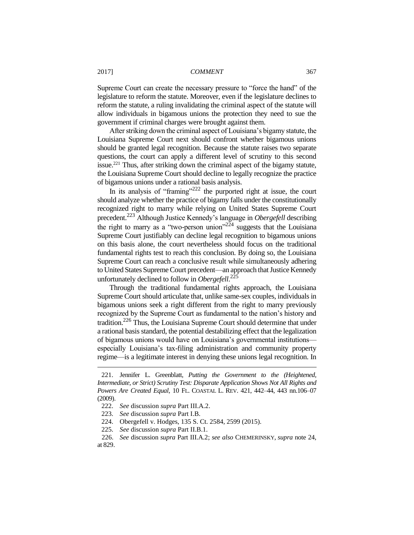Supreme Court can create the necessary pressure to "force the hand" of the legislature to reform the statute. Moreover, even if the legislature declines to reform the statute, a ruling invalidating the criminal aspect of the statute will allow individuals in bigamous unions the protection they need to sue the government if criminal charges were brought against them.

After striking down the criminal aspect of Louisiana's bigamy statute, the Louisiana Supreme Court next should confront whether bigamous unions should be granted legal recognition. Because the statute raises two separate questions, the court can apply a different level of scrutiny to this second issue.<sup>221</sup> Thus, after striking down the criminal aspect of the bigamy statute, the Louisiana Supreme Court should decline to legally recognize the practice of bigamous unions under a rational basis analysis.

In its analysis of "framing"<sup>222</sup> the purported right at issue, the court should analyze whether the practice of bigamy falls under the constitutionally recognized right to marry while relying on United States Supreme Court precedent.<sup>223</sup> Although Justice Kennedy's language in *Obergefell* describing the right to marry as a "two-person union"<sup>224</sup> suggests that the Louisiana Supreme Court justifiably can decline legal recognition to bigamous unions on this basis alone, the court nevertheless should focus on the traditional fundamental rights test to reach this conclusion. By doing so, the Louisiana Supreme Court can reach a conclusive result while simultaneously adhering to United States Supreme Court precedent—an approach that Justice Kennedy unfortunately declined to follow in *Obergefell*. 225

Through the traditional fundamental rights approach, the Louisiana Supreme Court should articulate that, unlike same-sex couples, individuals in bigamous unions seek a right different from the right to marry previously recognized by the Supreme Court as fundamental to the nation's history and tradition.<sup>226</sup> Thus, the Louisiana Supreme Court should determine that under a rational basis standard, the potential destabilizing effect that the legalization of bigamous unions would have on Louisiana's governmental institutions especially Louisiana's tax-filing administration and community property regime—is a legitimate interest in denying these unions legal recognition. In

<sup>221.</sup> Jennifer L. Greenblatt, *Putting the Government to the (Heightened, Intermediate, or Strict) Scrutiny Test: Disparate Application Shows Not All Rights and Powers Are Created Equal*, 10 FL. COASTAL L. REV. 421, 442–44, 443 nn.106–07 (2009).

<sup>222.</sup> *See* discussion *supra* Part III.A.2.

<sup>223.</sup> *See* discussion *supra* Part I.B.

<sup>224.</sup> Obergefell v. Hodges, 135 S. Ct. 2584, 2599 (2015).

<sup>225.</sup> *See* discussion *supra* Part II.B.1.

<sup>226.</sup> *See* discussion *supra* Part III.A.2; *see also* CHEMERINSKY, *supra* note 24, at 829.